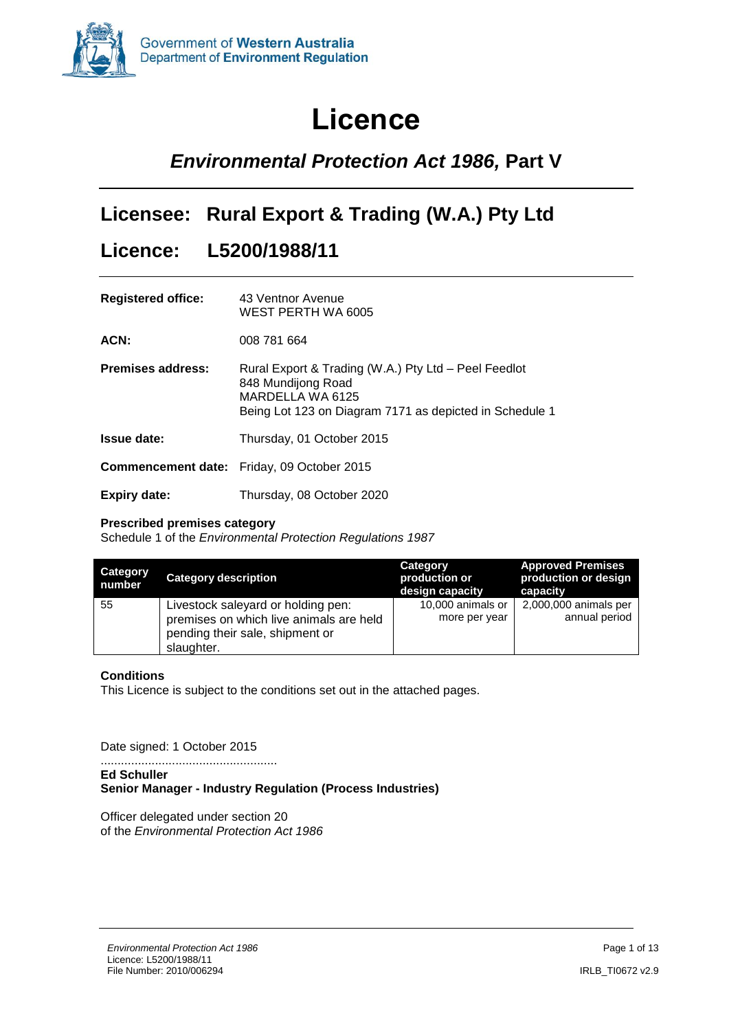

# **Licence**

## <span id="page-0-0"></span>*Environmental Protection Act 1986,* **Part V**

### **Licensee: Rural Export & Trading (W.A.) Pty Ltd**

### **Licence: L5200/1988/11**

| <b>Registered office:</b> | 43 Ventnor Avenue<br>WEST PERTH WA 6005                                                                                                                   |
|---------------------------|-----------------------------------------------------------------------------------------------------------------------------------------------------------|
| ACN:                      | 008 781 664                                                                                                                                               |
| <b>Premises address:</b>  | Rural Export & Trading (W.A.) Pty Ltd - Peel Feedlot<br>848 Mundijong Road<br>MARDELLA WA 6125<br>Being Lot 123 on Diagram 7171 as depicted in Schedule 1 |
| <b>Issue date:</b>        | Thursday, 01 October 2015                                                                                                                                 |
|                           | <b>Commencement date:</b> Friday, 09 October 2015                                                                                                         |
| <b>Expiry date:</b>       | Thursday, 08 October 2020                                                                                                                                 |

#### **Prescribed premises category**

Schedule 1 of the *Environmental Protection Regulations 1987*

| <b>Category</b><br>number | <b>Category description</b>                                                                                                    | <b>Category</b><br>production or<br>design capacity | <b>Approved Premises</b><br>production or design<br>capacity |
|---------------------------|--------------------------------------------------------------------------------------------------------------------------------|-----------------------------------------------------|--------------------------------------------------------------|
| 55                        | Livestock saleyard or holding pen:<br>premises on which live animals are held<br>pending their sale, shipment or<br>slaughter. | 10,000 animals or<br>more per year                  | 2,000,000 animals per<br>annual period                       |

### **Conditions**

This Licence is subject to the conditions set out in the attached pages.

Date signed: 1 October 2015

.................................................... **Ed Schuller Senior Manager - Industry Regulation (Process Industries)** 

Officer delegated under section 20 of the *Environmental Protection Act 1986*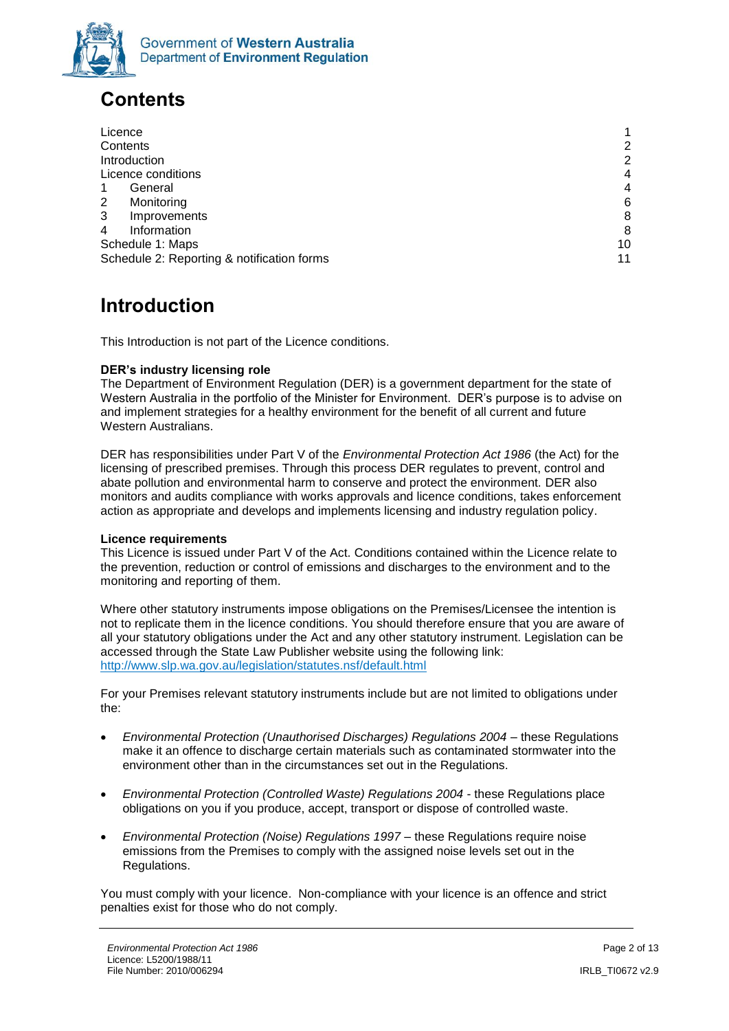

# <span id="page-1-0"></span>**Contents**

| Licence                                    | 1              |
|--------------------------------------------|----------------|
| Contents                                   | 2              |
| Introduction                               | 2              |
| Licence conditions                         | $\overline{4}$ |
| General                                    | $\overline{4}$ |
| 2<br>Monitoring                            | 6              |
| 3<br>Improvements                          | 8              |
| Information<br>4                           | 8              |
| Schedule 1: Maps                           | 10             |
| Schedule 2: Reporting & notification forms | 11             |

# <span id="page-1-1"></span>**Introduction**

This Introduction is not part of the Licence conditions.

### **DER's industry licensing role**

The Department of Environment Regulation (DER) is a government department for the state of Western Australia in the portfolio of the Minister for Environment. DER's purpose is to advise on and implement strategies for a healthy environment for the benefit of all current and future Western Australians.

DER has responsibilities under Part V of the *Environmental Protection Act 1986* (the Act) for the licensing of prescribed premises. Through this process DER regulates to prevent, control and abate pollution and environmental harm to conserve and protect the environment. DER also monitors and audits compliance with works approvals and licence conditions, takes enforcement action as appropriate and develops and implements licensing and industry regulation policy.

#### **Licence requirements**

This Licence is issued under Part V of the Act. Conditions contained within the Licence relate to the prevention, reduction or control of emissions and discharges to the environment and to the monitoring and reporting of them.

Where other statutory instruments impose obligations on the Premises/Licensee the intention is not to replicate them in the licence conditions. You should therefore ensure that you are aware of all your statutory obligations under the Act and any other statutory instrument. Legislation can be accessed through the State Law Publisher website using the following link: <http://www.slp.wa.gov.au/legislation/statutes.nsf/default.html>

For your Premises relevant statutory instruments include but are not limited to obligations under the:

- *Environmental Protection (Unauthorised Discharges) Regulations 2004* these Regulations make it an offence to discharge certain materials such as contaminated stormwater into the environment other than in the circumstances set out in the Regulations.
- *Environmental Protection (Controlled Waste) Regulations 2004* these Regulations place obligations on you if you produce, accept, transport or dispose of controlled waste.
- *Environmental Protection (Noise) Regulations 1997*  these Regulations require noise emissions from the Premises to comply with the assigned noise levels set out in the Regulations.

You must comply with your licence. Non-compliance with your licence is an offence and strict penalties exist for those who do not comply.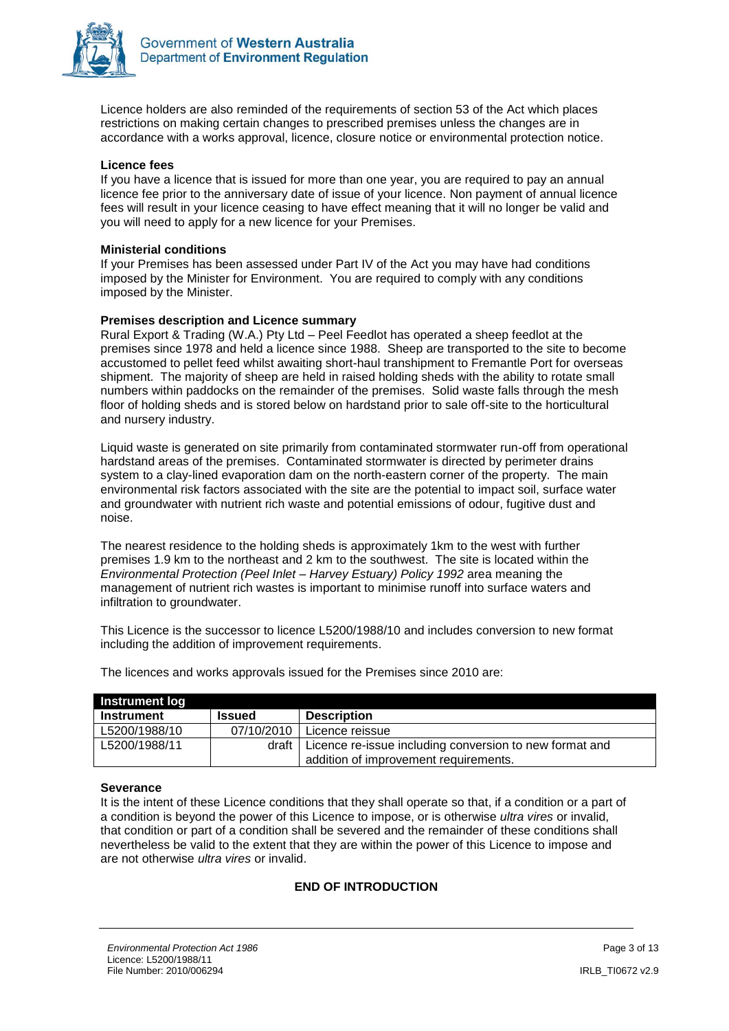

Licence holders are also reminded of the requirements of section 53 of the Act which places restrictions on making certain changes to prescribed premises unless the changes are in accordance with a works approval, licence, closure notice or environmental protection notice.

#### **Licence fees**

If you have a licence that is issued for more than one year, you are required to pay an annual licence fee prior to the anniversary date of issue of your licence. Non payment of annual licence fees will result in your licence ceasing to have effect meaning that it will no longer be valid and you will need to apply for a new licence for your Premises.

#### **Ministerial conditions**

If your Premises has been assessed under Part IV of the Act you may have had conditions imposed by the Minister for Environment. You are required to comply with any conditions imposed by the Minister.

#### **Premises description and Licence summary**

Rural Export & Trading (W.A.) Pty Ltd – Peel Feedlot has operated a sheep feedlot at the premises since 1978 and held a licence since 1988. Sheep are transported to the site to become accustomed to pellet feed whilst awaiting short-haul transhipment to Fremantle Port for overseas shipment. The majority of sheep are held in raised holding sheds with the ability to rotate small numbers within paddocks on the remainder of the premises. Solid waste falls through the mesh floor of holding sheds and is stored below on hardstand prior to sale off-site to the horticultural and nursery industry.

Liquid waste is generated on site primarily from contaminated stormwater run-off from operational hardstand areas of the premises. Contaminated stormwater is directed by perimeter drains system to a clay-lined evaporation dam on the north-eastern corner of the property. The main environmental risk factors associated with the site are the potential to impact soil, surface water and groundwater with nutrient rich waste and potential emissions of odour, fugitive dust and noise.

The nearest residence to the holding sheds is approximately 1km to the west with further premises 1.9 km to the northeast and 2 km to the southwest. The site is located within the *Environmental Protection (Peel Inlet – Harvey Estuary) Policy 1992* area meaning the management of nutrient rich wastes is important to minimise runoff into surface waters and infiltration to groundwater.

This Licence is the successor to licence L5200/1988/10 and includes conversion to new format including the addition of improvement requirements.

| <b>Instrument log</b> |               |                                                                 |
|-----------------------|---------------|-----------------------------------------------------------------|
| Instrument            | <b>Issued</b> | <b>Description</b>                                              |
| L5200/1988/10         | 07/10/2010    | l Licence reissue                                               |
| L5200/1988/11         |               | draft   Licence re-issue including conversion to new format and |
|                       |               | addition of improvement requirements.                           |

The licences and works approvals issued for the Premises since 2010 are:

#### **Severance**

It is the intent of these Licence conditions that they shall operate so that, if a condition or a part of a condition is beyond the power of this Licence to impose, or is otherwise *ultra vires* or invalid, that condition or part of a condition shall be severed and the remainder of these conditions shall nevertheless be valid to the extent that they are within the power of this Licence to impose and are not otherwise *ultra vires* or invalid.

#### **END OF INTRODUCTION**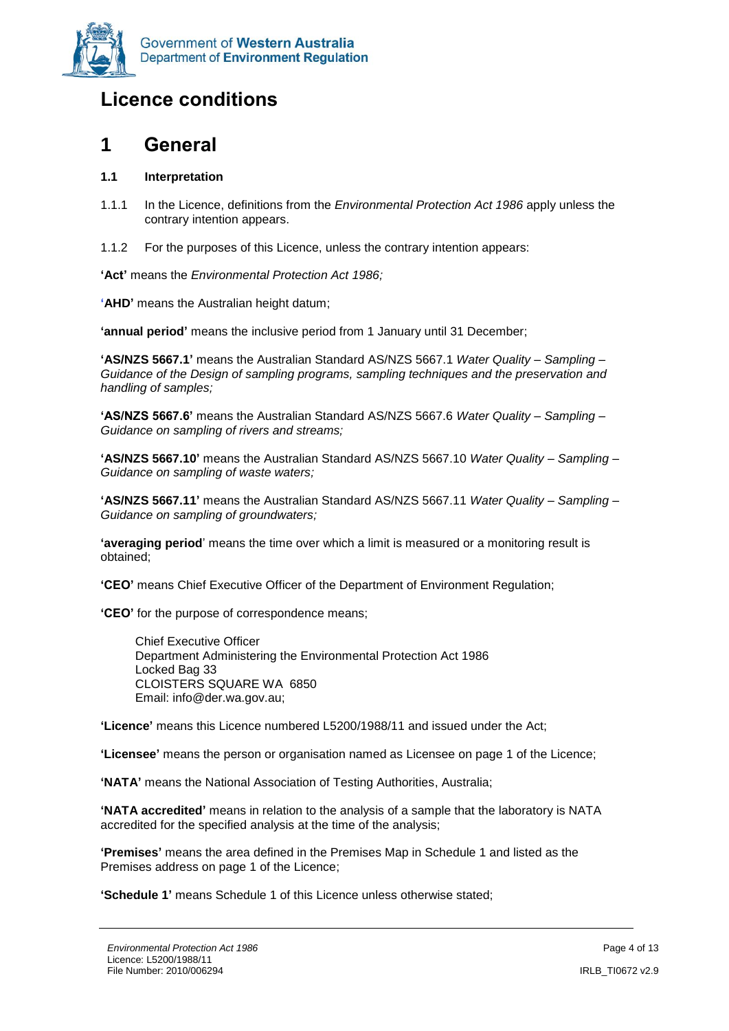

### <span id="page-3-0"></span>**Licence conditions**

### <span id="page-3-1"></span>**1 General**

### **1.1 Interpretation**

- 1.1.1 In the Licence, definitions from the *Environmental Protection Act 1986* apply unless the contrary intention appears.
- 1.1.2 For the purposes of this Licence, unless the contrary intention appears:

**'Act'** means the *Environmental Protection Act 1986;*

**'AHD'** means the Australian height datum;

**'annual period'** means the inclusive period from 1 January until 31 December;

**'AS/NZS 5667.1'** means the Australian Standard AS/NZS 5667.1 *Water Quality – Sampling – Guidance of the Design of sampling programs, sampling techniques and the preservation and handling of samples;*

**'AS/NZS 5667.6'** means the Australian Standard AS/NZS 5667.6 *Water Quality – Sampling – Guidance on sampling of rivers and streams;*

**'AS/NZS 5667.10'** means the Australian Standard AS/NZS 5667.10 *Water Quality – Sampling – Guidance on sampling of waste waters;*

**'AS/NZS 5667.11'** means the Australian Standard AS/NZS 5667.11 *Water Quality – Sampling – Guidance on sampling of groundwaters;*

**'averaging period**' means the time over which a limit is measured or a monitoring result is obtained;

**'CEO'** means Chief Executive Officer of the Department of Environment Regulation;

**'CEO'** for the purpose of correspondence means;

Chief Executive Officer Department Administering the Environmental Protection Act 1986 Locked Bag 33 CLOISTERS SQUARE WA 6850 Email: info@der.wa.gov.au;

**'Licence'** means this Licence numbered L5200/1988/11 and issued under the Act;

**'Licensee'** means the person or organisation named as Licensee on page 1 of the Licence;

**'NATA'** means the National Association of Testing Authorities, Australia;

**'NATA accredited'** means in relation to the analysis of a sample that the laboratory is NATA accredited for the specified analysis at the time of the analysis;

**'Premises'** means the area defined in the Premises Map in Schedule 1 and listed as the Premises address on page 1 of the Licence;

**'Schedule 1'** means Schedule 1 of this Licence unless otherwise stated;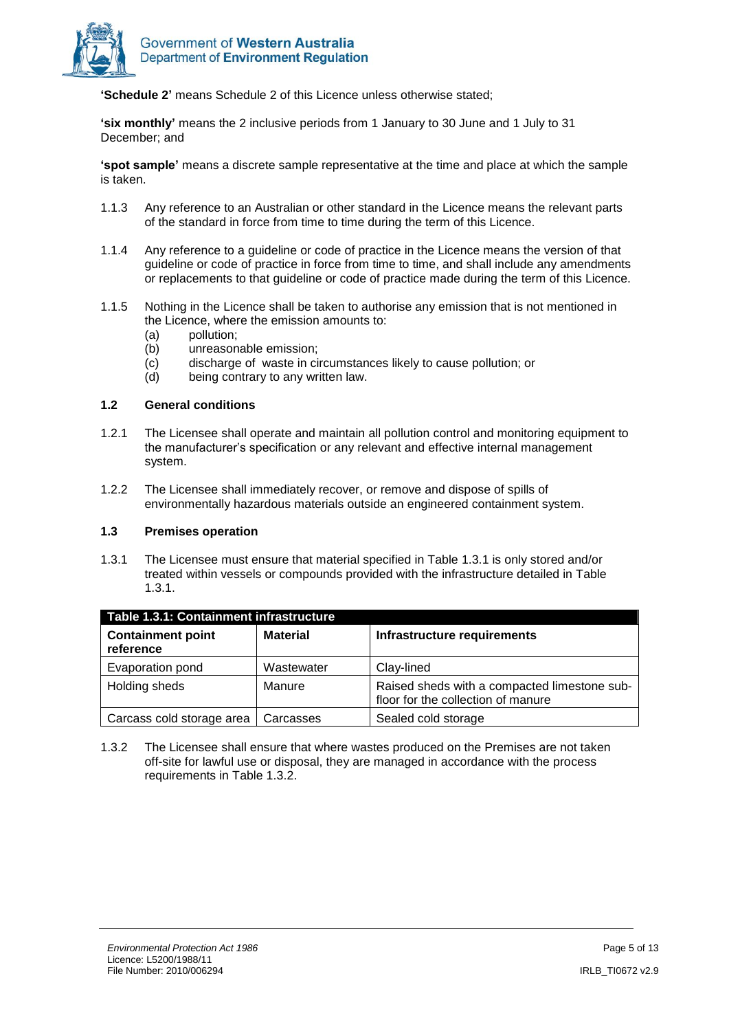

**'Schedule 2'** means Schedule 2 of this Licence unless otherwise stated;

**'six monthly'** means the 2 inclusive periods from 1 January to 30 June and 1 July to 31 December; and

**'spot sample'** means a discrete sample representative at the time and place at which the sample is taken.

- 1.1.3 Any reference to an Australian or other standard in the Licence means the relevant parts of the standard in force from time to time during the term of this Licence.
- 1.1.4 Any reference to a guideline or code of practice in the Licence means the version of that guideline or code of practice in force from time to time, and shall include any amendments or replacements to that guideline or code of practice made during the term of this Licence.
- 1.1.5 Nothing in the Licence shall be taken to authorise any emission that is not mentioned in the Licence, where the emission amounts to:
	- (a) pollution;
	- (b) unreasonable emission;
	- (c) discharge of waste in circumstances likely to cause pollution; or
	- (d) being contrary to any written law.

#### **1.2 General conditions**

- 1.2.1 The Licensee shall operate and maintain all pollution control and monitoring equipment to the manufacturer's specification or any relevant and effective internal management system.
- 1.2.2 The Licensee shall immediately recover, or remove and dispose of spills of environmentally hazardous materials outside an engineered containment system.

#### **1.3 Premises operation**

1.3.1 The Licensee must ensure that material specified in Table 1.3.1 is only stored and/or treated within vessels or compounds provided with the infrastructure detailed in Table 1.3.1.

| Table 1.3.1: Containment infrastructure |                 |                                                                                    |  |  |  |
|-----------------------------------------|-----------------|------------------------------------------------------------------------------------|--|--|--|
| <b>Containment point</b><br>reference   | <b>Material</b> | Infrastructure requirements                                                        |  |  |  |
| Evaporation pond                        | Wastewater      | Clay-lined                                                                         |  |  |  |
| Holding sheds                           | Manure          | Raised sheds with a compacted limestone sub-<br>floor for the collection of manure |  |  |  |
| Carcass cold storage area               | Carcasses       | Sealed cold storage                                                                |  |  |  |

1.3.2 The Licensee shall ensure that where wastes produced on the Premises are not taken off-site for lawful use or disposal, they are managed in accordance with the process requirements in Table 1.3.2.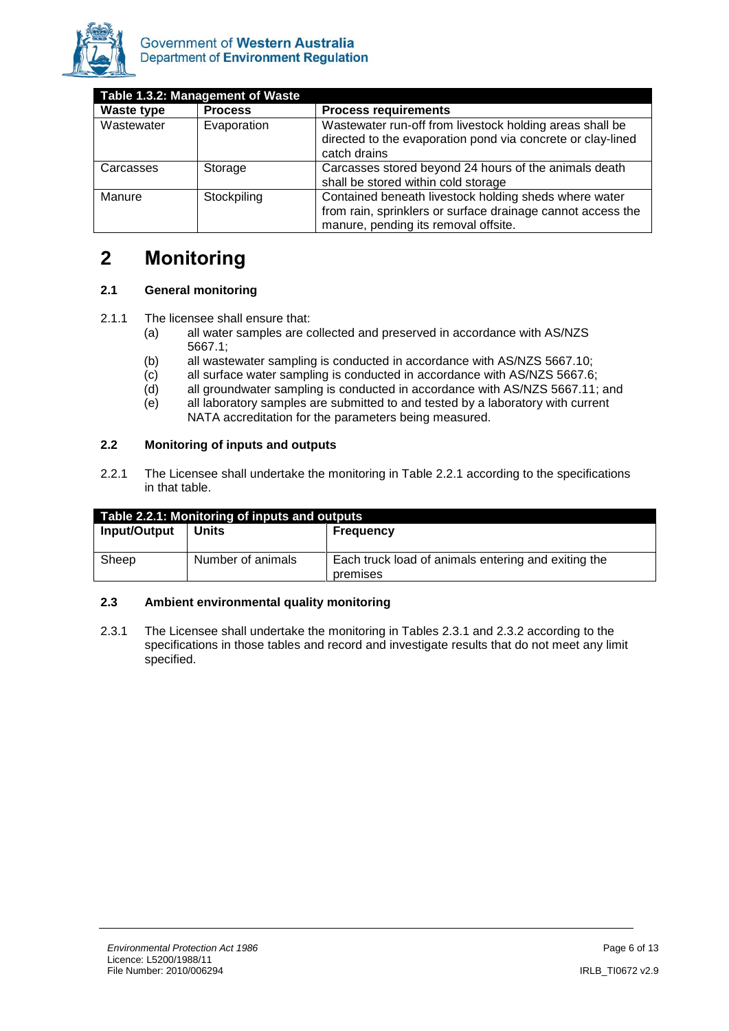

| Table 1.3.2: Management of Waste |                |                                                                                                                                                              |  |  |
|----------------------------------|----------------|--------------------------------------------------------------------------------------------------------------------------------------------------------------|--|--|
| <b>Waste type</b>                | <b>Process</b> | <b>Process requirements</b>                                                                                                                                  |  |  |
| Wastewater                       | Evaporation    | Wastewater run-off from livestock holding areas shall be<br>directed to the evaporation pond via concrete or clay-lined<br>catch drains                      |  |  |
| Carcasses                        | Storage        | Carcasses stored beyond 24 hours of the animals death<br>shall be stored within cold storage                                                                 |  |  |
| Manure                           | Stockpiling    | Contained beneath livestock holding sheds where water<br>from rain, sprinklers or surface drainage cannot access the<br>manure, pending its removal offsite. |  |  |

### <span id="page-5-0"></span>**2 Monitoring**

### **2.1 General monitoring**

- 2.1.1 The licensee shall ensure that:
	- (a) all water samples are collected and preserved in accordance with AS/NZS 5667.1;
	- (b) all wastewater sampling is conducted in accordance with AS/NZS 5667.10;
	- (c) all surface water sampling is conducted in accordance with AS/NZS 5667.6;
	- (d) all groundwater sampling is conducted in accordance with AS/NZS 5667.11; and
	- (e) all laboratory samples are submitted to and tested by a laboratory with current NATA accreditation for the parameters being measured.

### **2.2 Monitoring of inputs and outputs**

2.2.1 The Licensee shall undertake the monitoring in Table 2.2.1 according to the specifications in that table.

| Table 2.2.1: Monitoring of inputs and outputs |                   |                                                     |  |  |
|-----------------------------------------------|-------------------|-----------------------------------------------------|--|--|
| Input/Output                                  | <b>Units</b>      | <b>Frequency</b>                                    |  |  |
|                                               |                   |                                                     |  |  |
| Sheep                                         | Number of animals | Each truck load of animals entering and exiting the |  |  |
|                                               |                   | premises                                            |  |  |

### **2.3 Ambient environmental quality monitoring**

2.3.1 The Licensee shall undertake the monitoring in Tables 2.3.1 and 2.3.2 according to the specifications in those tables and record and investigate results that do not meet any limit specified.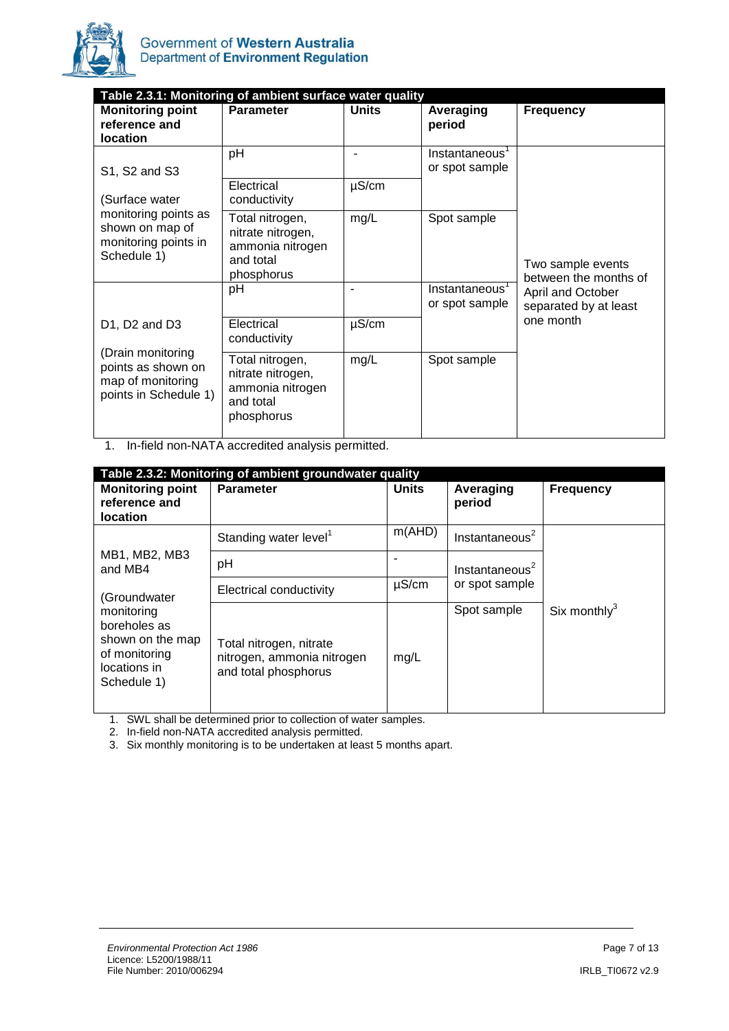

| Table 2.3.1: Monitoring of ambient surface water quality                              |                                                                                     |              |                                  |                                            |  |  |
|---------------------------------------------------------------------------------------|-------------------------------------------------------------------------------------|--------------|----------------------------------|--------------------------------------------|--|--|
| <b>Monitoring point</b><br>reference and<br><b>location</b>                           | <b>Parameter</b>                                                                    | <b>Units</b> | Averaging<br>period              | <b>Frequency</b>                           |  |  |
| S1, S2 and S3                                                                         | pH                                                                                  |              | Instantaneous<br>or spot sample  |                                            |  |  |
| (Surface water                                                                        | Electrical<br>conductivity                                                          | $\mu$ S/cm   |                                  |                                            |  |  |
| monitoring points as<br>shown on map of<br>monitoring points in<br>Schedule 1)        | Total nitrogen,<br>nitrate nitrogen,<br>ammonia nitrogen<br>and total<br>phosphorus | mg/L         | Spot sample                      | Two sample events<br>between the months of |  |  |
|                                                                                       | pH                                                                                  |              | Instantaneous'<br>or spot sample | April and October<br>separated by at least |  |  |
| D1, D2 and D3                                                                         | Electrical<br>conductivity                                                          | $\mu$ S/cm   |                                  | one month                                  |  |  |
| (Drain monitoring<br>points as shown on<br>map of monitoring<br>points in Schedule 1) | Total nitrogen,<br>nitrate nitrogen,<br>ammonia nitrogen<br>and total<br>phosphorus | mg/L         | Spot sample                      |                                            |  |  |

1. In-field non-NATA accredited analysis permitted.

| Table 2.3.2: Monitoring of ambient groundwater quality                                                         |                                                                               |              |                            |                  |  |  |
|----------------------------------------------------------------------------------------------------------------|-------------------------------------------------------------------------------|--------------|----------------------------|------------------|--|--|
| <b>Monitoring point</b><br>reference and<br><b>location</b>                                                    | <b>Parameter</b>                                                              | <b>Units</b> | Averaging<br>period        | <b>Frequency</b> |  |  |
|                                                                                                                | Standing water level <sup>1</sup>                                             | m(AHD)       | Instantaneous <sup>2</sup> |                  |  |  |
| MB1, MB2, MB3<br>and MB4                                                                                       | рH                                                                            |              | Instantaneous <sup>2</sup> |                  |  |  |
| (Groundwater<br>monitoring<br>boreholes as<br>shown on the map<br>of monitoring<br>locations in<br>Schedule 1) | Electrical conductivity                                                       | $\mu$ S/cm   | or spot sample             |                  |  |  |
|                                                                                                                | Total nitrogen, nitrate<br>nitrogen, ammonia nitrogen<br>and total phosphorus | mg/L         | Spot sample                | Six monthly $3$  |  |  |

1. SWL shall be determined prior to collection of water samples.

2. In-field non-NATA accredited analysis permitted.

3. Six monthly monitoring is to be undertaken at least 5 months apart.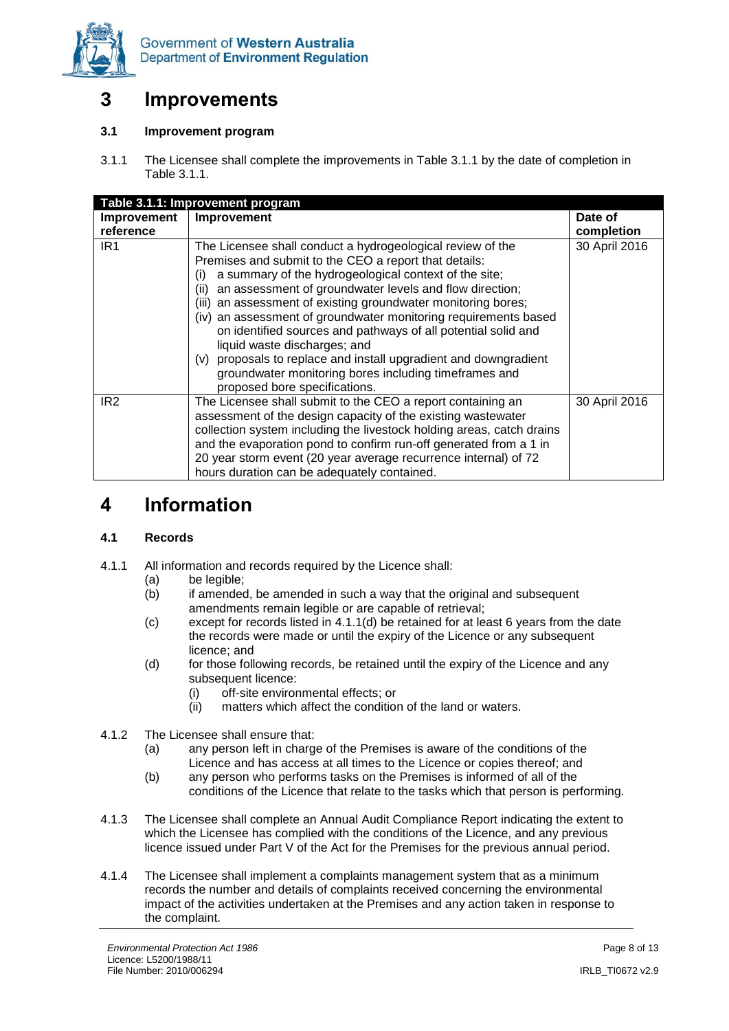

### <span id="page-7-0"></span>**3 Improvements**

### **3.1 Improvement program**

3.1.1 The Licensee shall complete the improvements in Table 3.1.1 by the date of completion in Table 3.1.1.

| Table 3.1.1: Improvement program |                                                                                                                                                                                                                                                                                                                                                                                                                                                                                                                                                                                                                                                              |               |  |  |
|----------------------------------|--------------------------------------------------------------------------------------------------------------------------------------------------------------------------------------------------------------------------------------------------------------------------------------------------------------------------------------------------------------------------------------------------------------------------------------------------------------------------------------------------------------------------------------------------------------------------------------------------------------------------------------------------------------|---------------|--|--|
| <b>Improvement</b>               | Improvement                                                                                                                                                                                                                                                                                                                                                                                                                                                                                                                                                                                                                                                  | Date of       |  |  |
| reference                        |                                                                                                                                                                                                                                                                                                                                                                                                                                                                                                                                                                                                                                                              | completion    |  |  |
| IR <sub>1</sub>                  | The Licensee shall conduct a hydrogeological review of the<br>Premises and submit to the CEO a report that details:<br>a summary of the hydrogeological context of the site;<br>(i)<br>an assessment of groundwater levels and flow direction;<br>(ii)<br>an assessment of existing groundwater monitoring bores;<br>(iii)<br>(iv) an assessment of groundwater monitoring requirements based<br>on identified sources and pathways of all potential solid and<br>liquid waste discharges; and<br>(v) proposals to replace and install upgradient and downgradient<br>groundwater monitoring bores including timeframes and<br>proposed bore specifications. | 30 April 2016 |  |  |
| IR <sub>2</sub>                  | The Licensee shall submit to the CEO a report containing an<br>assessment of the design capacity of the existing wastewater<br>collection system including the livestock holding areas, catch drains<br>and the evaporation pond to confirm run-off generated from a 1 in<br>20 year storm event (20 year average recurrence internal) of 72<br>hours duration can be adequately contained.                                                                                                                                                                                                                                                                  | 30 April 2016 |  |  |

### <span id="page-7-1"></span>**4 Information**

#### **4.1 Records**

- 4.1.1 All information and records required by the Licence shall:
	- (a) be legible;
	- (b) if amended, be amended in such a way that the original and subsequent amendments remain legible or are capable of retrieval;
	- (c) except for records listed in 4.1.1(d) be retained for at least 6 years from the date the records were made or until the expiry of the Licence or any subsequent licence; and
	- (d) for those following records, be retained until the expiry of the Licence and any subsequent licence:
		- (i) off-site environmental effects; or<br>(ii) matters which affect the condition
		- matters which affect the condition of the land or waters.
- 4.1.2 The Licensee shall ensure that:
	- (a) any person left in charge of the Premises is aware of the conditions of the Licence and has access at all times to the Licence or copies thereof; and
	- (b) any person who performs tasks on the Premises is informed of all of the conditions of the Licence that relate to the tasks which that person is performing.
- 4.1.3 The Licensee shall complete an Annual Audit Compliance Report indicating the extent to which the Licensee has complied with the conditions of the Licence, and any previous licence issued under Part V of the Act for the Premises for the previous annual period.
- 4.1.4 The Licensee shall implement a complaints management system that as a minimum records the number and details of complaints received concerning the environmental impact of the activities undertaken at the Premises and any action taken in response to the complaint.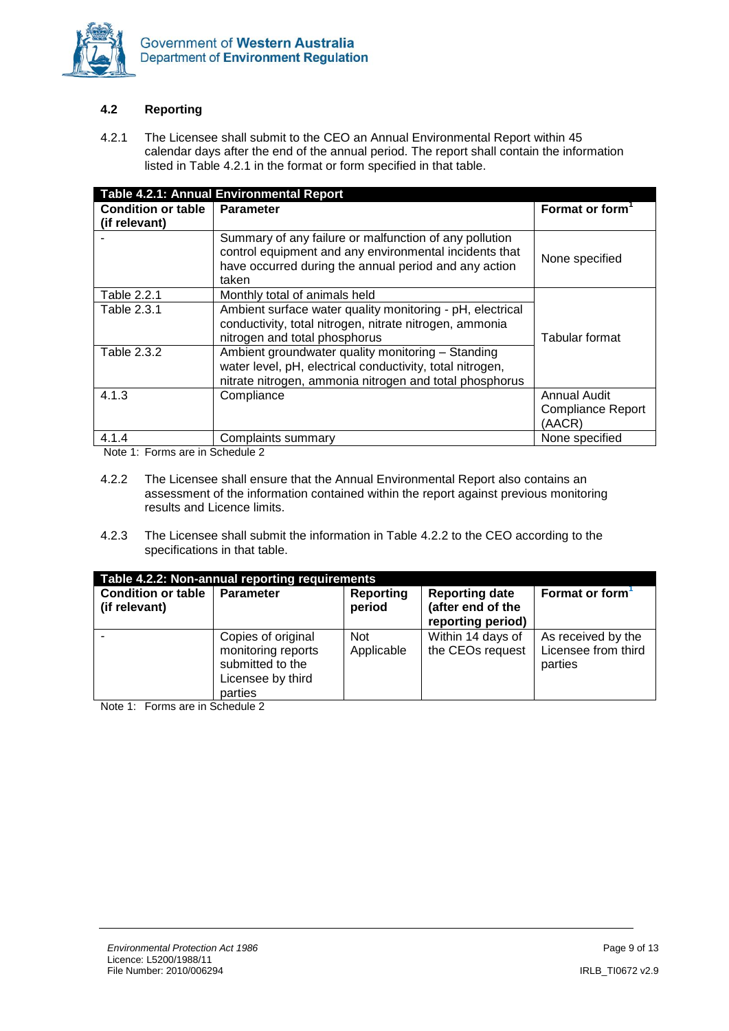

### **4.2 Reporting**

4.2.1 The Licensee shall submit to the CEO an Annual Environmental Report within 45 calendar days after the end of the annual period. The report shall contain the information listed in Table 4.2.1 in the format or form specified in that table.

| Table 4.2.1: Annual Environmental Report   |                                                                                                                                                                                    |                                                           |  |  |
|--------------------------------------------|------------------------------------------------------------------------------------------------------------------------------------------------------------------------------------|-----------------------------------------------------------|--|--|
| <b>Condition or table</b><br>(if relevant) | <b>Parameter</b>                                                                                                                                                                   | Format or form <sup>1</sup>                               |  |  |
|                                            | Summary of any failure or malfunction of any pollution<br>control equipment and any environmental incidents that<br>have occurred during the annual period and any action<br>taken | None specified                                            |  |  |
| Table 2.2.1                                | Monthly total of animals held                                                                                                                                                      |                                                           |  |  |
| Table 2.3.1                                | Ambient surface water quality monitoring - pH, electrical<br>conductivity, total nitrogen, nitrate nitrogen, ammonia<br>nitrogen and total phosphorus                              | Tabular format                                            |  |  |
| Table 2.3.2                                | Ambient groundwater quality monitoring - Standing<br>water level, pH, electrical conductivity, total nitrogen,<br>nitrate nitrogen, ammonia nitrogen and total phosphorus          |                                                           |  |  |
| 4.1.3                                      | Compliance                                                                                                                                                                         | <b>Annual Audit</b><br><b>Compliance Report</b><br>(AACR) |  |  |
| 4.1.4<br>$M = 1 - 1$ . $\blacksquare$      | Complaints summary<br>$\sim$ $\sim$ $\sim$ $\sim$ $\sim$ $\sim$ $\sim$                                                                                                             | None specified                                            |  |  |

Note 1: Forms are in Schedule 2

- 4.2.2 The Licensee shall ensure that the Annual Environmental Report also contains an assessment of the information contained within the report against previous monitoring results and Licence limits.
- 4.2.3 The Licensee shall submit the information in Table 4.2.2 to the CEO according to the specifications in that table.

| Table 4.2.2: Non-annual reporting requirements |                                                                                              |                          |                                                                 |                                                      |  |
|------------------------------------------------|----------------------------------------------------------------------------------------------|--------------------------|-----------------------------------------------------------------|------------------------------------------------------|--|
| <b>Condition or table</b><br>(if relevant)     | <b>Parameter</b>                                                                             | Reporting<br>period      | <b>Reporting date</b><br>(after end of the<br>reporting period) | <b>Format or form</b>                                |  |
| $\cdots$                                       | Copies of original<br>monitoring reports<br>submitted to the<br>Licensee by third<br>parties | <b>Not</b><br>Applicable | Within 14 days of<br>the CEOs request                           | As received by the<br>Licensee from third<br>parties |  |

Note 1: Forms are in Schedule 2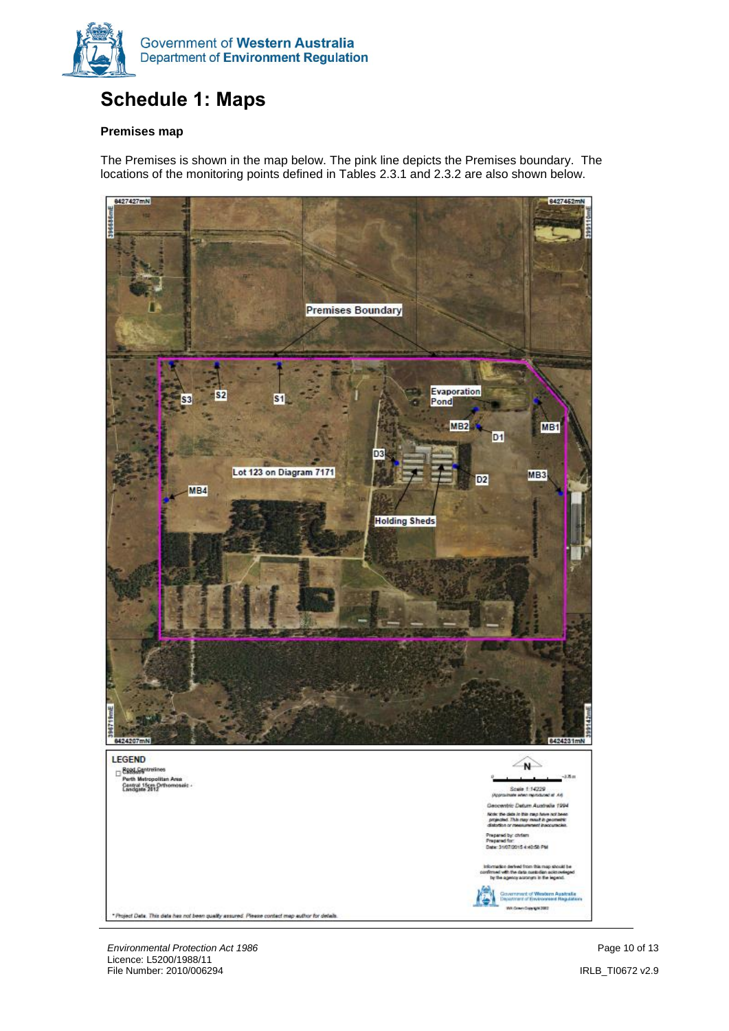

# <span id="page-9-0"></span>**Schedule 1: Maps**

### **Premises map**

The Premises is shown in the map below. The pink line depicts the Premises boundary. The locations of the monitoring points defined in Tables 2.3.1 and 2.3.2 are also shown below.



**Environmental Protection Act 1986 Page 10 of 13 Page 10 of 13** Licence: L5200/1988/11 File Number: 2010/006294 IRLB\_TI0672 v2.9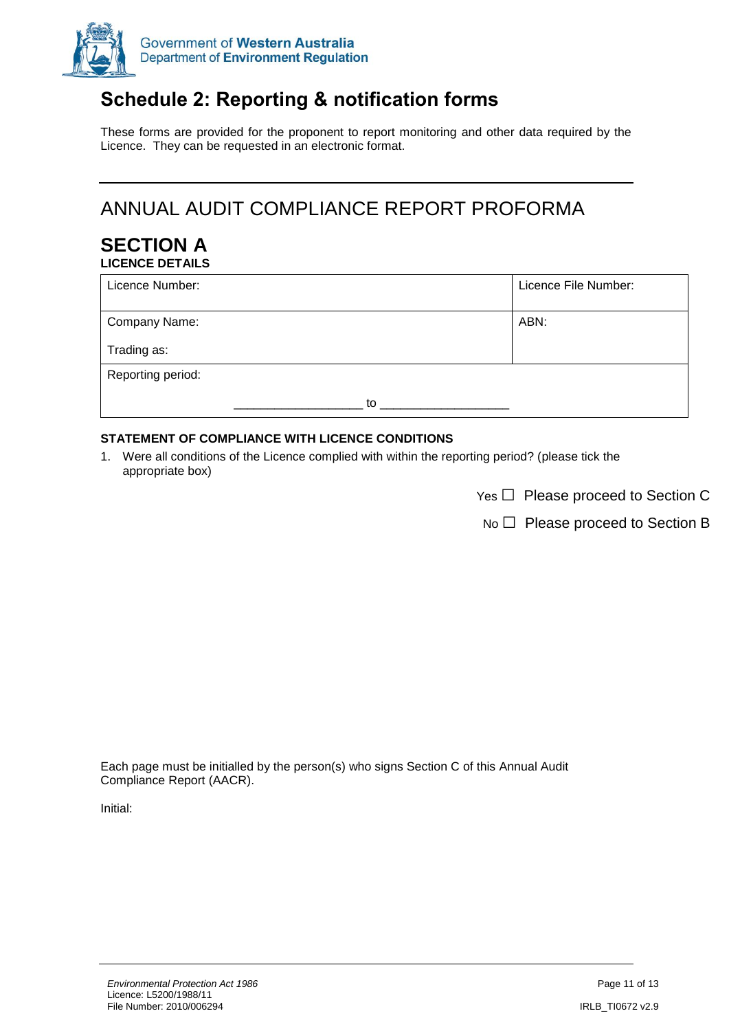

# <span id="page-10-0"></span>**Schedule 2: Reporting & notification forms**

These forms are provided for the proponent to report monitoring and other data required by the Licence. They can be requested in an electronic format.

# ANNUAL AUDIT COMPLIANCE REPORT PROFORMA

### **SECTION A LICENCE DETAILS**

| Licence Number:   | Licence File Number: |
|-------------------|----------------------|
| Company Name:     | ABN:                 |
| Trading as:       |                      |
| Reporting period: |                      |
| to                |                      |

### **STATEMENT OF COMPLIANCE WITH LICENCE CONDITIONS**

1. Were all conditions of the Licence complied with within the reporting period? (please tick the appropriate box)

Yes □ Please proceed to Section C

No □ Please proceed to Section B

Each page must be initialled by the person(s) who signs Section C of this Annual Audit Compliance Report (AACR).

Initial: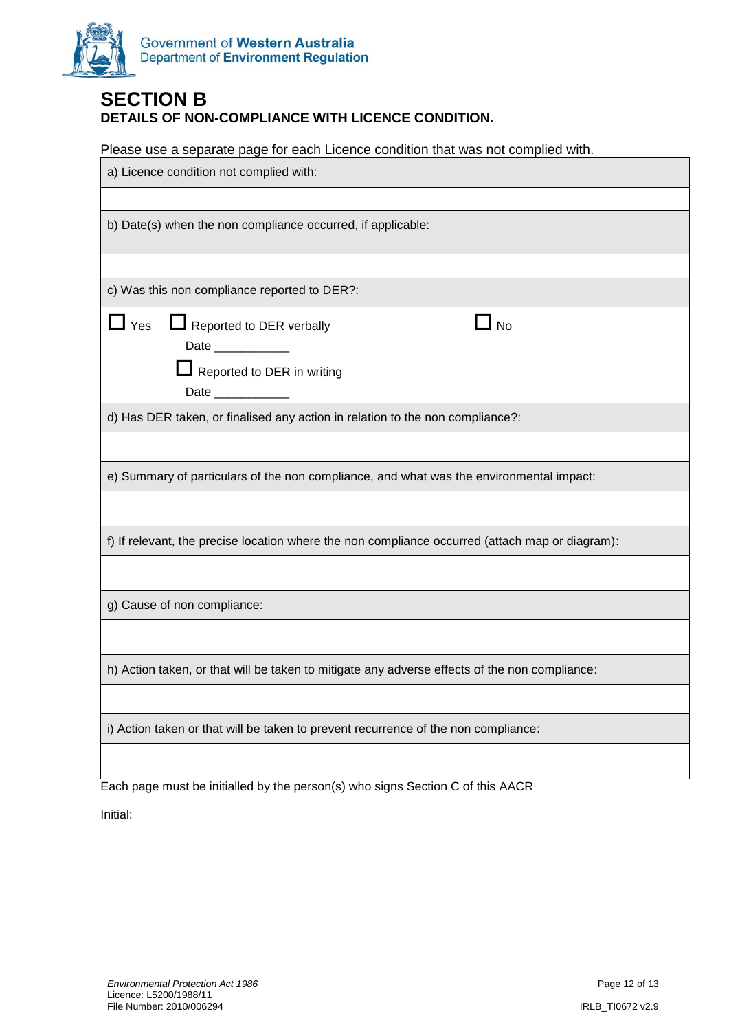

### **SECTION B DETAILS OF NON-COMPLIANCE WITH LICENCE CONDITION.**

Please use a separate page for each Licence condition that was not complied with.

| a) Licence condition not complied with:                                                                                                    |           |  |  |
|--------------------------------------------------------------------------------------------------------------------------------------------|-----------|--|--|
|                                                                                                                                            |           |  |  |
| b) Date(s) when the non compliance occurred, if applicable:                                                                                |           |  |  |
|                                                                                                                                            |           |  |  |
| c) Was this non compliance reported to DER?:                                                                                               |           |  |  |
| $\mathsf{\mathsf{\underline{I}}}$ Yes<br>Reported to DER verbally<br>Date ____________<br>Reported to DER in writing<br>Date _____________ | $\Box$ No |  |  |
| d) Has DER taken, or finalised any action in relation to the non compliance?:                                                              |           |  |  |
|                                                                                                                                            |           |  |  |
| e) Summary of particulars of the non compliance, and what was the environmental impact:                                                    |           |  |  |
|                                                                                                                                            |           |  |  |
| f) If relevant, the precise location where the non compliance occurred (attach map or diagram):                                            |           |  |  |
|                                                                                                                                            |           |  |  |
| g) Cause of non compliance:                                                                                                                |           |  |  |
|                                                                                                                                            |           |  |  |
| h) Action taken, or that will be taken to mitigate any adverse effects of the non compliance:                                              |           |  |  |
|                                                                                                                                            |           |  |  |
| i) Action taken or that will be taken to prevent recurrence of the non compliance:                                                         |           |  |  |
|                                                                                                                                            |           |  |  |

Each page must be initialled by the person(s) who signs Section C of this AACR

Initial: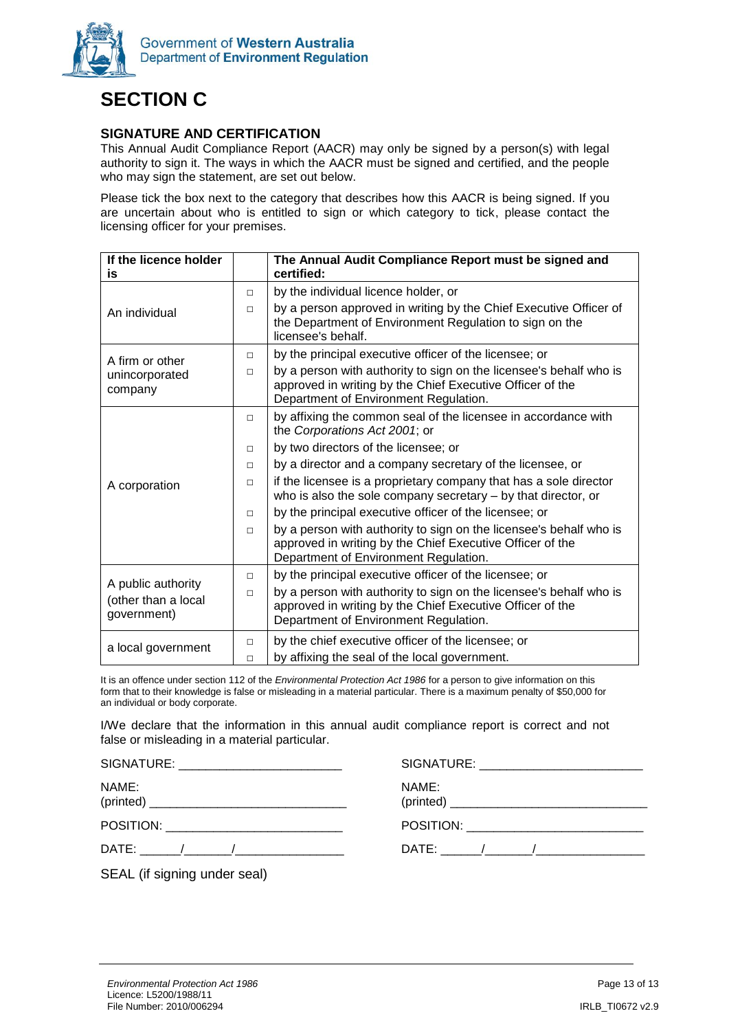

# **SECTION C**

### **SIGNATURE AND CERTIFICATION**

This Annual Audit Compliance Report (AACR) may only be signed by a person(s) with legal authority to sign it. The ways in which the AACR must be signed and certified, and the people who may sign the statement, are set out below.

Please tick the box next to the category that describes how this AACR is being signed. If you are uncertain about who is entitled to sign or which category to tick, please contact the licensing officer for your premises.

| If the licence holder<br>is                                                                                                              |        | The Annual Audit Compliance Report must be signed and<br>certified:                                                                                                      |
|------------------------------------------------------------------------------------------------------------------------------------------|--------|--------------------------------------------------------------------------------------------------------------------------------------------------------------------------|
|                                                                                                                                          | П.     | by the individual licence holder, or                                                                                                                                     |
| An individual                                                                                                                            | $\Box$ | by a person approved in writing by the Chief Executive Officer of<br>the Department of Environment Regulation to sign on the<br>licensee's behalf.                       |
| A firm or other                                                                                                                          | $\Box$ | by the principal executive officer of the licensee; or                                                                                                                   |
| unincorporated<br>company                                                                                                                | П      | by a person with authority to sign on the licensee's behalf who is<br>approved in writing by the Chief Executive Officer of the<br>Department of Environment Regulation. |
|                                                                                                                                          | П      | by affixing the common seal of the licensee in accordance with<br>the Corporations Act 2001; or                                                                          |
|                                                                                                                                          | $\Box$ | by two directors of the licensee; or                                                                                                                                     |
|                                                                                                                                          | П      | by a director and a company secretary of the licensee, or                                                                                                                |
| A corporation                                                                                                                            | П      | if the licensee is a proprietary company that has a sole director<br>who is also the sole company secretary $-$ by that director, or                                     |
|                                                                                                                                          | $\Box$ | by the principal executive officer of the licensee; or                                                                                                                   |
|                                                                                                                                          | П.     | by a person with authority to sign on the licensee's behalf who is<br>approved in writing by the Chief Executive Officer of the<br>Department of Environment Regulation. |
| A public authority                                                                                                                       | $\Box$ | by the principal executive officer of the licensee; or                                                                                                                   |
| (other than a local<br>government)                                                                                                       | $\Box$ | by a person with authority to sign on the licensee's behalf who is<br>approved in writing by the Chief Executive Officer of the<br>Department of Environment Regulation. |
| by the chief executive officer of the licensee; or<br>П<br>a local government<br>by affixing the seal of the local government.<br>$\Box$ |        |                                                                                                                                                                          |

It is an offence under section 112 of the *Environmental Protection Act 1986* for a person to give information on this form that to their knowledge is false or misleading in a material particular. There is a maximum penalty of \$50,000 for an individual or body corporate.

I/We declare that the information in this annual audit compliance report is correct and not false or misleading in a material particular.

| SIGNATURE: | SIGNATURE: |
|------------|------------|
| NAME:      | NAME:      |
| (printed)  | (printed)  |

POSITION: \_\_\_\_\_\_\_\_\_\_\_\_\_\_\_\_\_\_\_\_\_\_\_\_\_\_

DATE: \_\_\_\_\_\_/\_\_\_\_\_\_\_/\_\_\_\_\_\_\_\_\_\_\_\_\_\_\_\_

SEAL (if signing under seal)

POSITION: \_\_\_\_\_\_\_\_\_\_\_\_\_\_\_\_\_\_\_\_\_\_\_\_\_\_ DATE: \_\_\_\_\_\_/\_\_\_\_\_\_\_/\_\_\_\_\_\_\_\_\_\_\_\_\_\_\_\_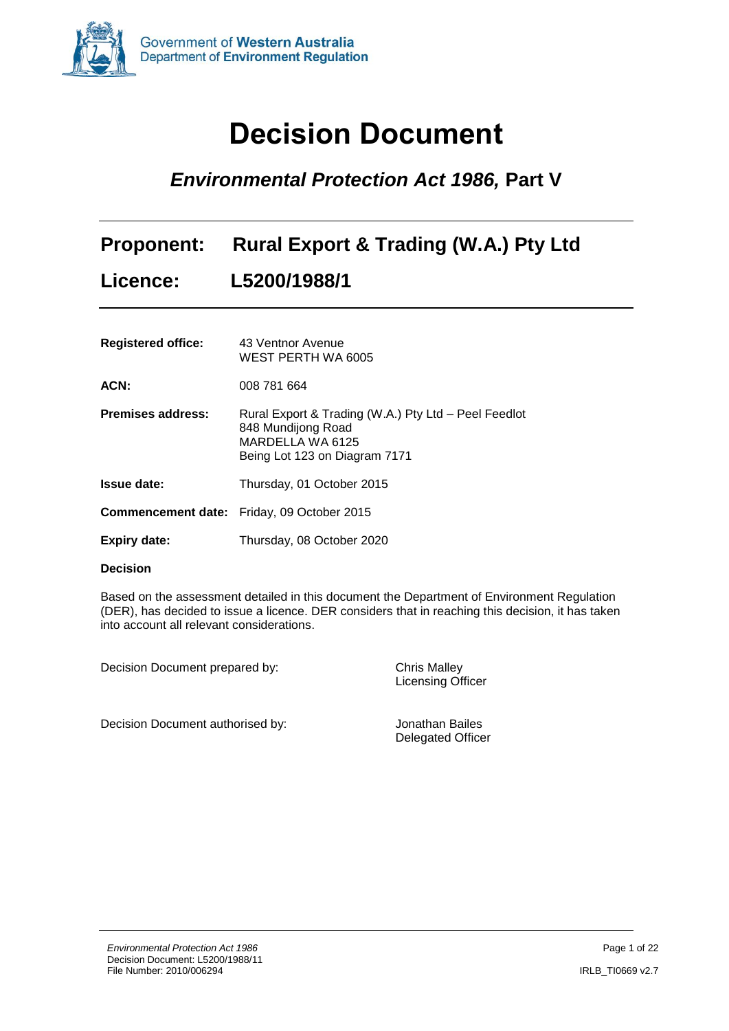

# **Decision Document**

# <span id="page-13-0"></span>*Environmental Protection Act 1986,* **Part V**

|                 | Proponent: Rural Export & Trading (W.A.) Pty Ltd |
|-----------------|--------------------------------------------------|
| <b>Licence:</b> | L5200/1988/1                                     |

| <b>Registered office:</b> | 43 Ventnor Avenue<br>WEST PERTH WA 6005                                                                                         |
|---------------------------|---------------------------------------------------------------------------------------------------------------------------------|
| ACN:                      | 008 781 664                                                                                                                     |
| <b>Premises address:</b>  | Rural Export & Trading (W.A.) Pty Ltd - Peel Feedlot<br>848 Mundijong Road<br>MARDELLA WA 6125<br>Being Lot 123 on Diagram 7171 |
| <b>Issue date:</b>        | Thursday, 01 October 2015                                                                                                       |
|                           | <b>Commencement date:</b> Friday, 09 October 2015                                                                               |
| Expiry date:              | Thursday, 08 October 2020                                                                                                       |

#### **Decision**

Based on the assessment detailed in this document the Department of Environment Regulation (DER), has decided to issue a licence. DER considers that in reaching this decision, it has taken into account all relevant considerations.

Decision Document prepared by: Chris Malley

Licensing Officer

Decision Document authorised by: Jonathan Bailes

Delegated Officer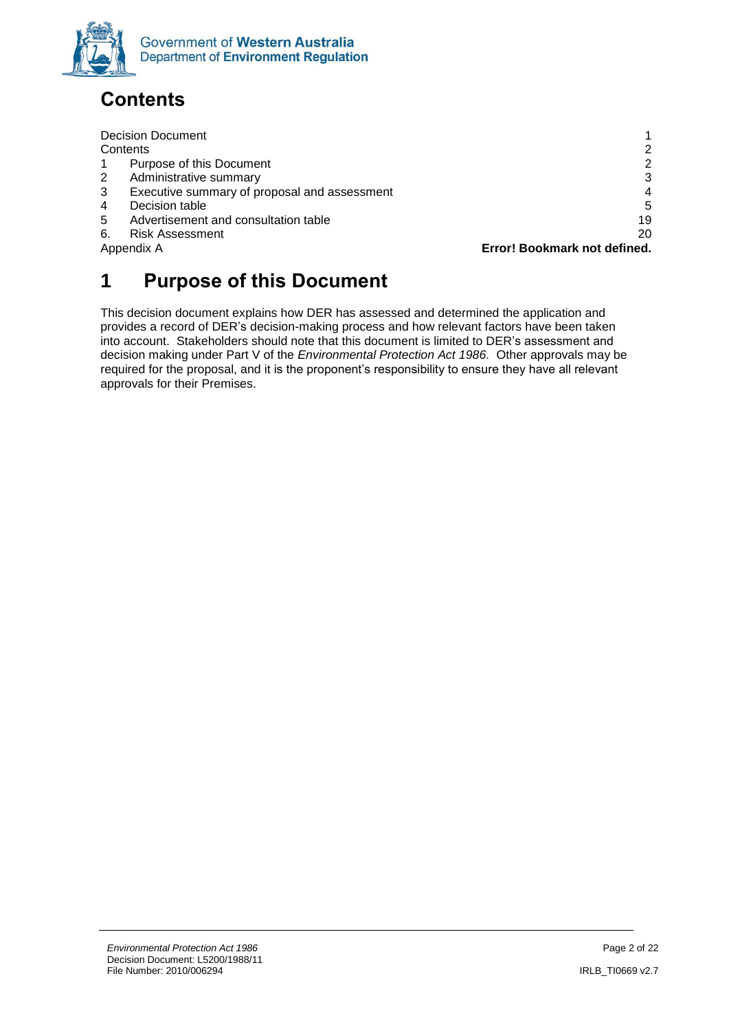

# <span id="page-14-0"></span>**Contents**

|              | <b>Decision Document</b>                     |                              |
|--------------|----------------------------------------------|------------------------------|
|              | Contents                                     |                              |
|              | Purpose of this Document                     |                              |
| $\mathbf{2}$ | Administrative summary                       | 3                            |
| 3            | Executive summary of proposal and assessment | 4                            |
| 4            | Decision table                               | 5                            |
| 5            | Advertisement and consultation table         | 19                           |
| 6.           | <b>Risk Assessment</b>                       | 20                           |
|              | Appendix A                                   | Error! Bookmark not defined. |
|              |                                              |                              |

# <span id="page-14-1"></span>**1 Purpose of this Document**

<span id="page-14-2"></span>This decision document explains how DER has assessed and determined the application and provides a record of DER's decision-making process and how relevant factors have been taken into account. Stakeholders should note that this document is limited to DER's assessment and decision making under Part V of the *Environmental Protection Act 1986.* Other approvals may be required for the proposal, and it is the proponent's responsibility to ensure they have all relevant approvals for their Premises.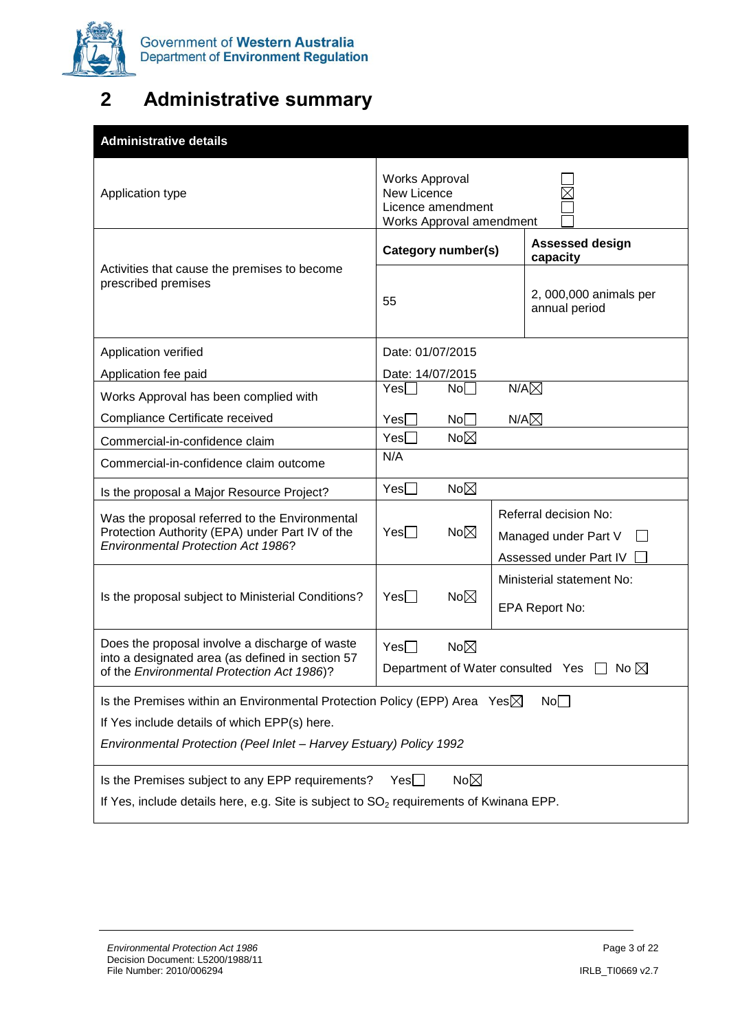

# **2 Administrative summary**

<span id="page-15-0"></span>

| <b>Administrative details</b>                                                                                                                                                                                                       |                                                                                       |                |                                                                                         |  |
|-------------------------------------------------------------------------------------------------------------------------------------------------------------------------------------------------------------------------------------|---------------------------------------------------------------------------------------|----------------|-----------------------------------------------------------------------------------------|--|
| Application type                                                                                                                                                                                                                    | <b>Works Approval</b><br>New Licence<br>Licence amendment<br>Works Approval amendment |                |                                                                                         |  |
|                                                                                                                                                                                                                                     | Category number(s)                                                                    |                | <b>Assessed design</b><br>capacity                                                      |  |
| Activities that cause the premises to become<br>prescribed premises                                                                                                                                                                 | 55                                                                                    |                | 2, 000,000 animals per<br>annual period                                                 |  |
| Application verified                                                                                                                                                                                                                | Date: 01/07/2015                                                                      |                |                                                                                         |  |
| Application fee paid                                                                                                                                                                                                                | Date: 14/07/2015                                                                      |                |                                                                                         |  |
| Works Approval has been complied with                                                                                                                                                                                               | Yes                                                                                   | No             | $N/A\boxtimes$                                                                          |  |
| Compliance Certificate received                                                                                                                                                                                                     | Yes[                                                                                  | No             | $N/A\boxtimes$                                                                          |  |
| Commercial-in-confidence claim                                                                                                                                                                                                      | $Yes \Box$                                                                            | $No\boxtimes$  |                                                                                         |  |
| Commercial-in-confidence claim outcome                                                                                                                                                                                              | N/A                                                                                   |                |                                                                                         |  |
| Is the proposal a Major Resource Project?                                                                                                                                                                                           | Yes                                                                                   | $No\boxtimes$  |                                                                                         |  |
| Was the proposal referred to the Environmental<br>Protection Authority (EPA) under Part IV of the<br><b>Environmental Protection Act 1986?</b>                                                                                      | $Yes \Box$                                                                            | $No\boxtimes$  | Referral decision No:<br>Managed under Part V<br>$\mathsf{I}$<br>Assessed under Part IV |  |
|                                                                                                                                                                                                                                     |                                                                                       |                | Ministerial statement No:                                                               |  |
| Is the proposal subject to Ministerial Conditions?                                                                                                                                                                                  | $Yes \Box$                                                                            | $No\boxtimes$  | EPA Report No:                                                                          |  |
| Does the proposal involve a discharge of waste<br>$No\boxtimes$<br>Yes<br>into a designated area (as defined in section 57<br>Department of Water consulted Yes $\Box$ No $\boxtimes$<br>of the Environmental Protection Act 1986)? |                                                                                       |                |                                                                                         |  |
| Is the Premises within an Environmental Protection Policy (EPP) Area Yes $\boxtimes$                                                                                                                                                |                                                                                       |                | No                                                                                      |  |
| If Yes include details of which EPP(s) here.                                                                                                                                                                                        |                                                                                       |                |                                                                                         |  |
| Environmental Protection (Peel Inlet - Harvey Estuary) Policy 1992                                                                                                                                                                  |                                                                                       |                |                                                                                         |  |
| Is the Premises subject to any EPP requirements?<br>If Yes, include details here, e.g. Site is subject to SO <sub>2</sub> requirements of Kwinana EPP.                                                                              | Yesl I                                                                                | No $\boxtimes$ |                                                                                         |  |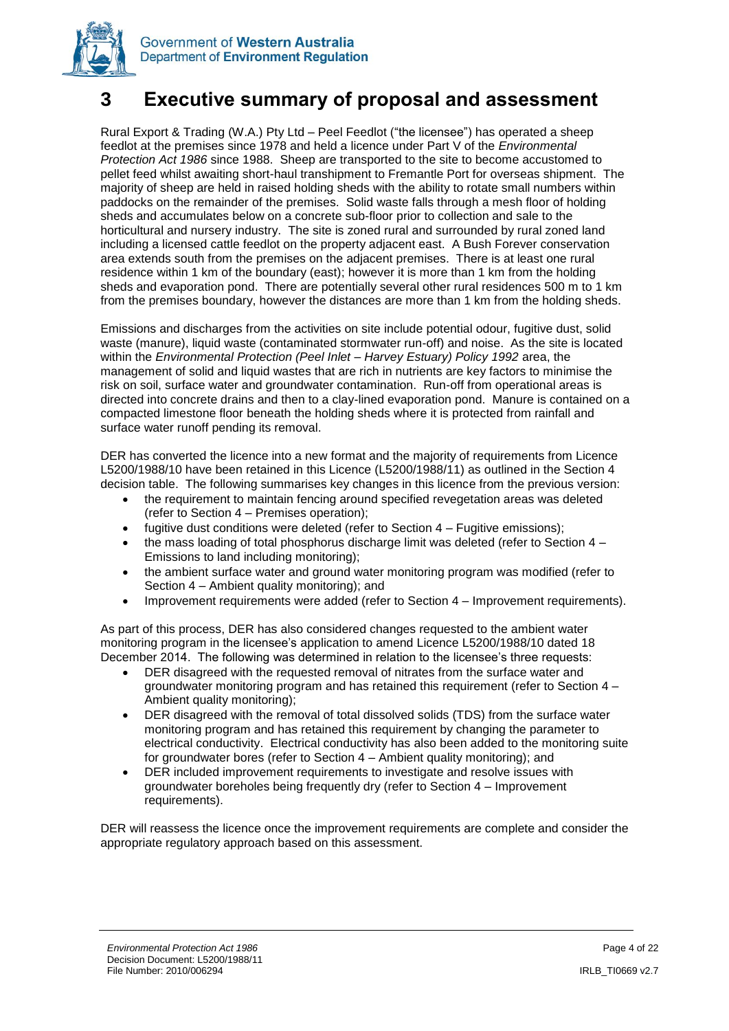



Rural Export & Trading (W.A.) Pty Ltd – Peel Feedlot ("the licensee") has operated a sheep feedlot at the premises since 1978 and held a licence under Part V of the *Environmental Protection Act 1986* since 1988. Sheep are transported to the site to become accustomed to pellet feed whilst awaiting short-haul transhipment to Fremantle Port for overseas shipment. The majority of sheep are held in raised holding sheds with the ability to rotate small numbers within paddocks on the remainder of the premises. Solid waste falls through a mesh floor of holding sheds and accumulates below on a concrete sub-floor prior to collection and sale to the horticultural and nursery industry. The site is zoned rural and surrounded by rural zoned land including a licensed cattle feedlot on the property adjacent east. A Bush Forever conservation area extends south from the premises on the adjacent premises. There is at least one rural residence within 1 km of the boundary (east); however it is more than 1 km from the holding sheds and evaporation pond. There are potentially several other rural residences 500 m to 1 km from the premises boundary, however the distances are more than 1 km from the holding sheds.

Emissions and discharges from the activities on site include potential odour, fugitive dust, solid waste (manure), liquid waste (contaminated stormwater run-off) and noise. As the site is located within the *Environmental Protection (Peel Inlet – Harvey Estuary) Policy 1992* area, the management of solid and liquid wastes that are rich in nutrients are key factors to minimise the risk on soil, surface water and groundwater contamination. Run-off from operational areas is directed into concrete drains and then to a clay-lined evaporation pond. Manure is contained on a compacted limestone floor beneath the holding sheds where it is protected from rainfall and surface water runoff pending its removal.

DER has converted the licence into a new format and the majority of requirements from Licence L5200/1988/10 have been retained in this Licence (L5200/1988/11) as outlined in the Section 4 decision table. The following summarises key changes in this licence from the previous version:

- the requirement to maintain fencing around specified revegetation areas was deleted (refer to Section 4 – Premises operation);
- fugitive dust conditions were deleted (refer to Section 4 Fugitive emissions);
- the mass loading of total phosphorus discharge limit was deleted (refer to Section 4 Emissions to land including monitoring);
- the ambient surface water and ground water monitoring program was modified (refer to Section 4 – Ambient quality monitoring); and
- Improvement requirements were added (refer to Section 4 Improvement requirements).

As part of this process, DER has also considered changes requested to the ambient water monitoring program in the licensee's application to amend Licence L5200/1988/10 dated 18 December 2014. The following was determined in relation to the licensee's three requests:

- DER disagreed with the requested removal of nitrates from the surface water and groundwater monitoring program and has retained this requirement (refer to Section 4 – Ambient quality monitoring);
- DER disagreed with the removal of total dissolved solids (TDS) from the surface water monitoring program and has retained this requirement by changing the parameter to electrical conductivity. Electrical conductivity has also been added to the monitoring suite for groundwater bores (refer to Section 4 – Ambient quality monitoring); and
- DER included improvement requirements to investigate and resolve issues with groundwater boreholes being frequently dry (refer to Section 4 – Improvement requirements).

DER will reassess the licence once the improvement requirements are complete and consider the appropriate regulatory approach based on this assessment.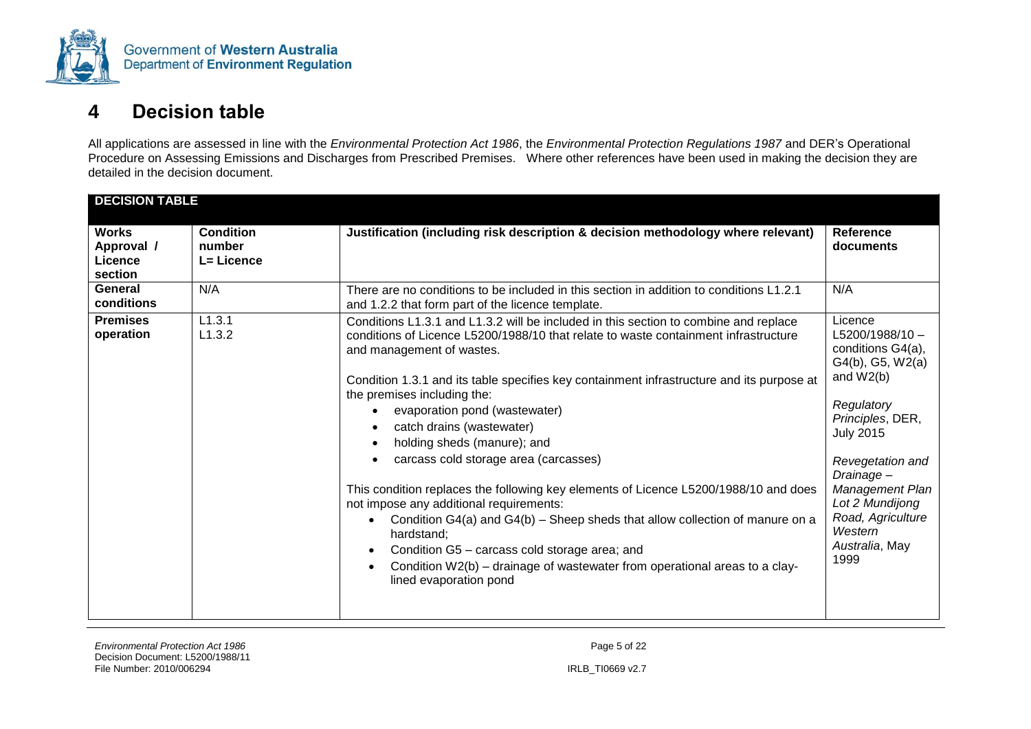

### **4 Decision table**

All applications are assessed in line with the *Environmental Protection Act 1986*, the *Environmental Protection Regulations 1987* and DER's Operational Procedure on Assessing Emissions and Discharges from Prescribed Premises. Where other references have been used in making the decision they are detailed in the decision document.

<span id="page-17-0"></span>

| <b>DECISION TABLE</b>                                   |                                                 |                                                                                                                                                                                                                                                                                                                                                                                                                                                                                                                                                                                                                                                                                                                                                                                                                                                                                   |                                                                                                                                                                                                                                                                             |
|---------------------------------------------------------|-------------------------------------------------|-----------------------------------------------------------------------------------------------------------------------------------------------------------------------------------------------------------------------------------------------------------------------------------------------------------------------------------------------------------------------------------------------------------------------------------------------------------------------------------------------------------------------------------------------------------------------------------------------------------------------------------------------------------------------------------------------------------------------------------------------------------------------------------------------------------------------------------------------------------------------------------|-----------------------------------------------------------------------------------------------------------------------------------------------------------------------------------------------------------------------------------------------------------------------------|
| <b>Works</b><br>Approval /<br><b>Licence</b><br>section | <b>Condition</b><br>number<br><b>L= Licence</b> | Justification (including risk description & decision methodology where relevant)                                                                                                                                                                                                                                                                                                                                                                                                                                                                                                                                                                                                                                                                                                                                                                                                  | <b>Reference</b><br>documents                                                                                                                                                                                                                                               |
| General<br>conditions                                   | N/A                                             | There are no conditions to be included in this section in addition to conditions L1.2.1<br>and 1.2.2 that form part of the licence template.                                                                                                                                                                                                                                                                                                                                                                                                                                                                                                                                                                                                                                                                                                                                      | N/A                                                                                                                                                                                                                                                                         |
| <b>Premises</b><br>operation                            | L1.3.1<br>L1.3.2                                | Conditions L1.3.1 and L1.3.2 will be included in this section to combine and replace<br>conditions of Licence L5200/1988/10 that relate to waste containment infrastructure<br>and management of wastes.<br>Condition 1.3.1 and its table specifies key containment infrastructure and its purpose at<br>the premises including the:<br>evaporation pond (wastewater)<br>catch drains (wastewater)<br>holding sheds (manure); and<br>carcass cold storage area (carcasses)<br>This condition replaces the following key elements of Licence L5200/1988/10 and does<br>not impose any additional requirements:<br>Condition G4(a) and G4(b) – Sheep sheds that allow collection of manure on a<br>hardstand;<br>Condition G5 - carcass cold storage area; and<br>$\bullet$<br>Condition W2(b) – drainage of wastewater from operational areas to a clay-<br>lined evaporation pond | Licence<br>$L5200/1988/10 -$<br>conditions G4(a),<br>G4(b), G5, W2(a)<br>and $W2(b)$<br>Regulatory<br>Principles, DER,<br><b>July 2015</b><br>Revegetation and<br>Drainage-<br>Management Plan<br>Lot 2 Mundijong<br>Road, Agriculture<br>Western<br>Australia, May<br>1999 |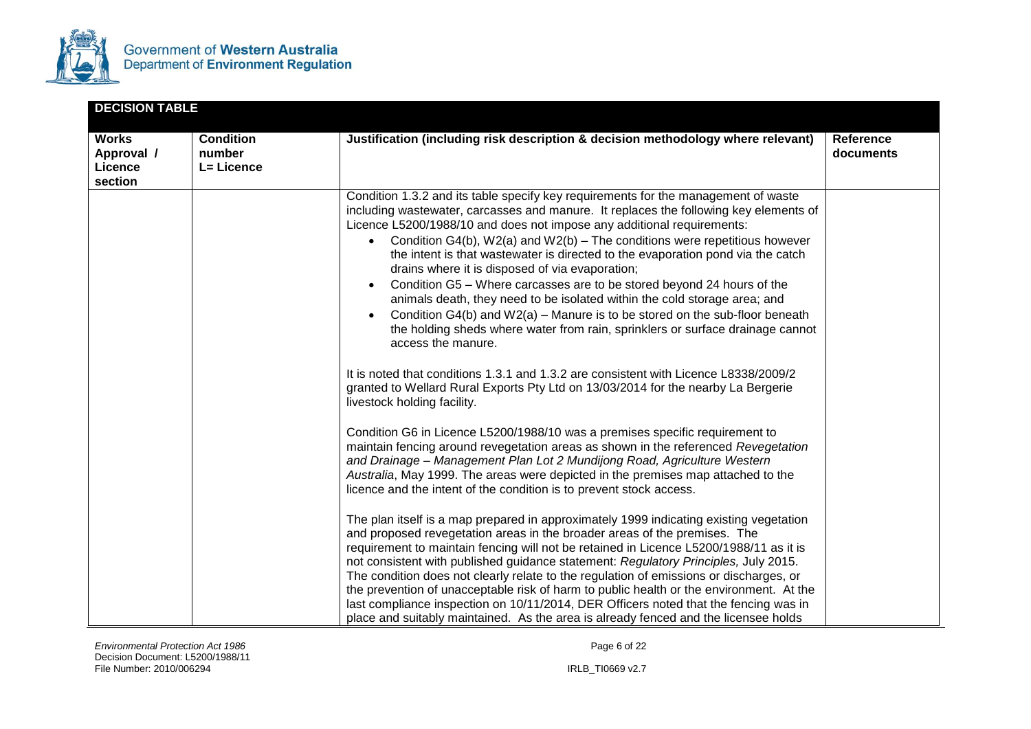

|                                                  | <b>DECISION TABLE</b>                    |                                                                                                                                                                                                                                                                                                                                                                                                                                                                                                                                                                                                                                                                                                                                                                                                                                                                                                                                                                                                                                                                                                                                                                                                                                                                                                                                                                                                                                                                                                                                                                                                                                                                                                                                                                                                                                                                                                                                                                                                                                                                                                                                                                                      |                               |  |
|--------------------------------------------------|------------------------------------------|--------------------------------------------------------------------------------------------------------------------------------------------------------------------------------------------------------------------------------------------------------------------------------------------------------------------------------------------------------------------------------------------------------------------------------------------------------------------------------------------------------------------------------------------------------------------------------------------------------------------------------------------------------------------------------------------------------------------------------------------------------------------------------------------------------------------------------------------------------------------------------------------------------------------------------------------------------------------------------------------------------------------------------------------------------------------------------------------------------------------------------------------------------------------------------------------------------------------------------------------------------------------------------------------------------------------------------------------------------------------------------------------------------------------------------------------------------------------------------------------------------------------------------------------------------------------------------------------------------------------------------------------------------------------------------------------------------------------------------------------------------------------------------------------------------------------------------------------------------------------------------------------------------------------------------------------------------------------------------------------------------------------------------------------------------------------------------------------------------------------------------------------------------------------------------------|-------------------------------|--|
| <b>Works</b><br>Approval /<br>Licence<br>section | <b>Condition</b><br>number<br>L= Licence | Justification (including risk description & decision methodology where relevant)                                                                                                                                                                                                                                                                                                                                                                                                                                                                                                                                                                                                                                                                                                                                                                                                                                                                                                                                                                                                                                                                                                                                                                                                                                                                                                                                                                                                                                                                                                                                                                                                                                                                                                                                                                                                                                                                                                                                                                                                                                                                                                     | <b>Reference</b><br>documents |  |
|                                                  |                                          | Condition 1.3.2 and its table specify key requirements for the management of waste<br>including wastewater, carcasses and manure. It replaces the following key elements of<br>Licence L5200/1988/10 and does not impose any additional requirements:<br>Condition G4(b), $W2(a)$ and $W2(b)$ – The conditions were repetitious however<br>the intent is that wastewater is directed to the evaporation pond via the catch<br>drains where it is disposed of via evaporation;<br>Condition G5 - Where carcasses are to be stored beyond 24 hours of the<br>animals death, they need to be isolated within the cold storage area; and<br>Condition $G4(b)$ and $W2(a)$ – Manure is to be stored on the sub-floor beneath<br>the holding sheds where water from rain, sprinklers or surface drainage cannot<br>access the manure.<br>It is noted that conditions 1.3.1 and 1.3.2 are consistent with Licence L8338/2009/2<br>granted to Wellard Rural Exports Pty Ltd on 13/03/2014 for the nearby La Bergerie<br>livestock holding facility.<br>Condition G6 in Licence L5200/1988/10 was a premises specific requirement to<br>maintain fencing around revegetation areas as shown in the referenced Revegetation<br>and Drainage - Management Plan Lot 2 Mundijong Road, Agriculture Western<br>Australia, May 1999. The areas were depicted in the premises map attached to the<br>licence and the intent of the condition is to prevent stock access.<br>The plan itself is a map prepared in approximately 1999 indicating existing vegetation<br>and proposed revegetation areas in the broader areas of the premises. The<br>requirement to maintain fencing will not be retained in Licence L5200/1988/11 as it is<br>not consistent with published guidance statement: Regulatory Principles, July 2015.<br>The condition does not clearly relate to the regulation of emissions or discharges, or<br>the prevention of unacceptable risk of harm to public health or the environment. At the<br>last compliance inspection on 10/11/2014, DER Officers noted that the fencing was in<br>place and suitably maintained. As the area is already fenced and the licensee holds |                               |  |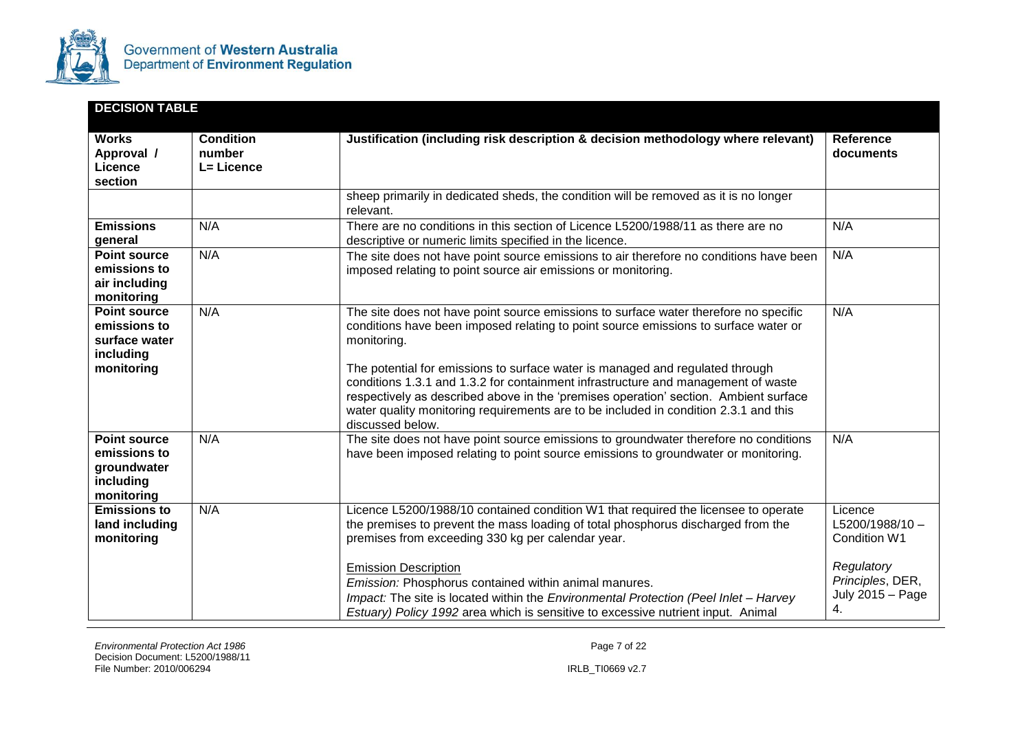

| <b>DECISION TABLE</b>                                                           |                                          |                                                                                                                                                                                                                                                                                                                                                                                                                                                                                                                                                                      |                                                                                                          |
|---------------------------------------------------------------------------------|------------------------------------------|----------------------------------------------------------------------------------------------------------------------------------------------------------------------------------------------------------------------------------------------------------------------------------------------------------------------------------------------------------------------------------------------------------------------------------------------------------------------------------------------------------------------------------------------------------------------|----------------------------------------------------------------------------------------------------------|
| <b>Works</b><br>Approval /<br>Licence<br>section                                | <b>Condition</b><br>number<br>L= Licence | Justification (including risk description & decision methodology where relevant)                                                                                                                                                                                                                                                                                                                                                                                                                                                                                     | <b>Reference</b><br>documents                                                                            |
|                                                                                 |                                          | sheep primarily in dedicated sheds, the condition will be removed as it is no longer<br>relevant.                                                                                                                                                                                                                                                                                                                                                                                                                                                                    |                                                                                                          |
| <b>Emissions</b><br>general                                                     | N/A                                      | There are no conditions in this section of Licence L5200/1988/11 as there are no<br>descriptive or numeric limits specified in the licence.                                                                                                                                                                                                                                                                                                                                                                                                                          | N/A                                                                                                      |
| <b>Point source</b><br>emissions to<br>air including<br>monitoring              | N/A                                      | The site does not have point source emissions to air therefore no conditions have been<br>imposed relating to point source air emissions or monitoring.                                                                                                                                                                                                                                                                                                                                                                                                              | N/A                                                                                                      |
| <b>Point source</b><br>emissions to<br>surface water<br>including<br>monitoring | N/A                                      | The site does not have point source emissions to surface water therefore no specific<br>conditions have been imposed relating to point source emissions to surface water or<br>monitoring.<br>The potential for emissions to surface water is managed and regulated through<br>conditions 1.3.1 and 1.3.2 for containment infrastructure and management of waste<br>respectively as described above in the 'premises operation' section. Ambient surface<br>water quality monitoring requirements are to be included in condition 2.3.1 and this<br>discussed below. | N/A                                                                                                      |
| <b>Point source</b><br>emissions to<br>groundwater<br>including<br>monitoring   | N/A                                      | The site does not have point source emissions to groundwater therefore no conditions<br>have been imposed relating to point source emissions to groundwater or monitoring.                                                                                                                                                                                                                                                                                                                                                                                           | N/A                                                                                                      |
| <b>Emissions to</b><br>land including<br>monitoring                             | N/A                                      | Licence L5200/1988/10 contained condition W1 that required the licensee to operate<br>the premises to prevent the mass loading of total phosphorus discharged from the<br>premises from exceeding 330 kg per calendar year.<br><b>Emission Description</b><br>Emission: Phosphorus contained within animal manures.<br>Impact: The site is located within the Environmental Protection (Peel Inlet - Harvey<br>Estuary) Policy 1992 area which is sensitive to excessive nutrient input. Animal                                                                      | Licence<br>$L5200/1988/10 -$<br>Condition W1<br>Regulatory<br>Principles, DER,<br>July 2015 - Page<br>4. |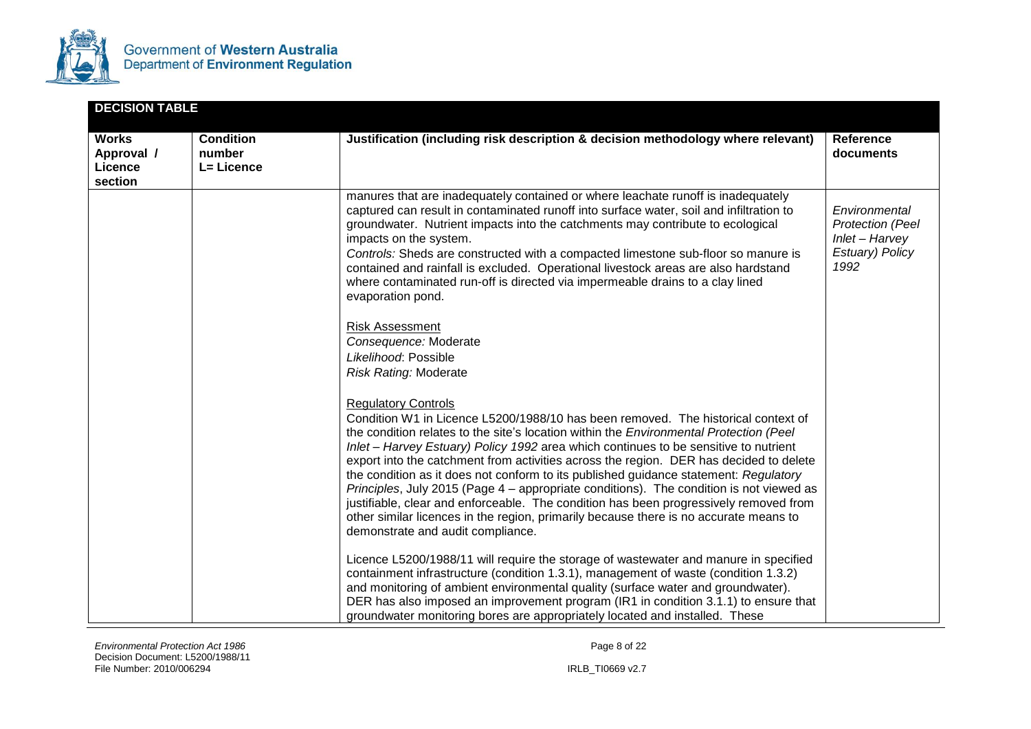

| <b>DECISION TABLE</b>                            |                                          |                                                                                                                                                                                                                                                                                                                                                                                                                                                                                                                                                                                                                                                                                                                                                                                                       |                                                                                       |
|--------------------------------------------------|------------------------------------------|-------------------------------------------------------------------------------------------------------------------------------------------------------------------------------------------------------------------------------------------------------------------------------------------------------------------------------------------------------------------------------------------------------------------------------------------------------------------------------------------------------------------------------------------------------------------------------------------------------------------------------------------------------------------------------------------------------------------------------------------------------------------------------------------------------|---------------------------------------------------------------------------------------|
| <b>Works</b><br>Approval /<br>Licence<br>section | <b>Condition</b><br>number<br>L= Licence | Justification (including risk description & decision methodology where relevant)                                                                                                                                                                                                                                                                                                                                                                                                                                                                                                                                                                                                                                                                                                                      | Reference<br>documents                                                                |
|                                                  |                                          | manures that are inadequately contained or where leachate runoff is inadequately<br>captured can result in contaminated runoff into surface water, soil and infiltration to<br>groundwater. Nutrient impacts into the catchments may contribute to ecological<br>impacts on the system.<br>Controls: Sheds are constructed with a compacted limestone sub-floor so manure is<br>contained and rainfall is excluded. Operational livestock areas are also hardstand<br>where contaminated run-off is directed via impermeable drains to a clay lined<br>evaporation pond.                                                                                                                                                                                                                              | Environmental<br><b>Protection (Peel</b><br>Inlet - Harvey<br>Estuary) Policy<br>1992 |
|                                                  |                                          | <b>Risk Assessment</b><br>Consequence: Moderate<br>Likelihood: Possible<br><b>Risk Rating: Moderate</b>                                                                                                                                                                                                                                                                                                                                                                                                                                                                                                                                                                                                                                                                                               |                                                                                       |
|                                                  |                                          | <b>Regulatory Controls</b><br>Condition W1 in Licence L5200/1988/10 has been removed. The historical context of<br>the condition relates to the site's location within the Environmental Protection (Peel<br>Inlet - Harvey Estuary) Policy 1992 area which continues to be sensitive to nutrient<br>export into the catchment from activities across the region. DER has decided to delete<br>the condition as it does not conform to its published guidance statement: Regulatory<br>Principles, July 2015 (Page 4 – appropriate conditions). The condition is not viewed as<br>justifiable, clear and enforceable. The condition has been progressively removed from<br>other similar licences in the region, primarily because there is no accurate means to<br>demonstrate and audit compliance. |                                                                                       |
|                                                  |                                          | Licence L5200/1988/11 will require the storage of wastewater and manure in specified<br>containment infrastructure (condition 1.3.1), management of waste (condition 1.3.2)<br>and monitoring of ambient environmental quality (surface water and groundwater).<br>DER has also imposed an improvement program (IR1 in condition 3.1.1) to ensure that<br>groundwater monitoring bores are appropriately located and installed. These                                                                                                                                                                                                                                                                                                                                                                 |                                                                                       |

*Environmental Protection Act 1986 Page 8 of 22* Decision Document: L5200/1988/11 File Number: 2010/006294 IRLB\_TI0669 v2.7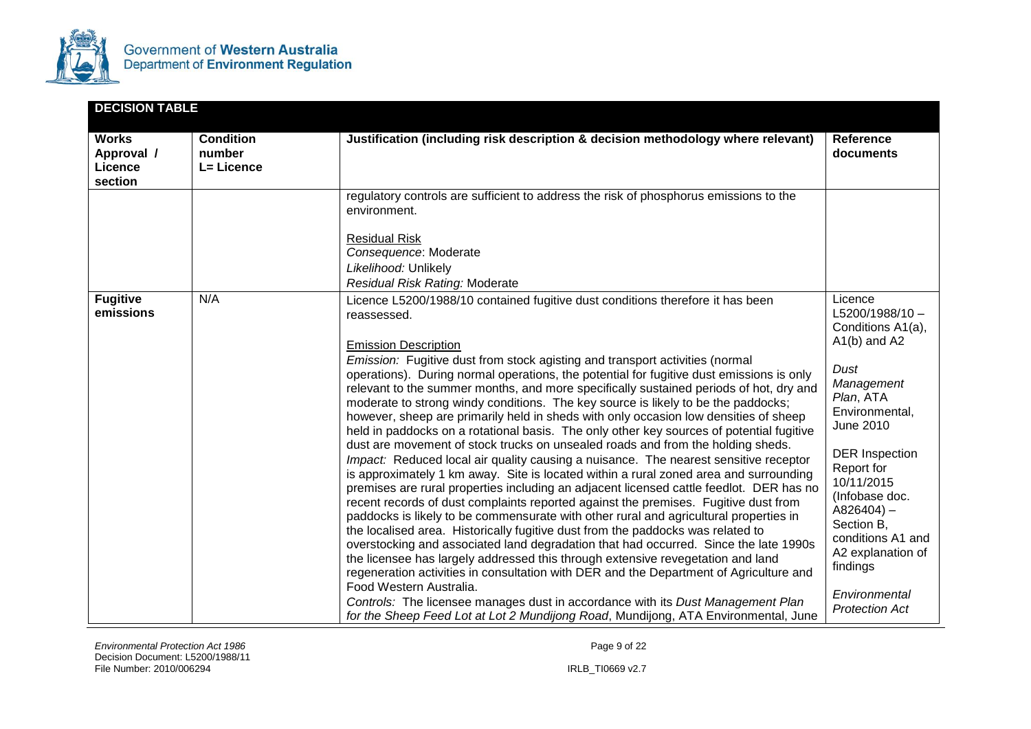

| <b>DECISION TABLE</b>                            |                                          |                                                                                                                                                                                                                                                                                                                                                                                                                                                                                                                                                                                                                                                                                                                                                                                                                                                                                                                                                                                                                                                                                                                                                                                                                                                                                                                                                                                                                                                                                                                                                                                                                                                                                                                                                                                        |                                                                                                                                                                                                                                                                                                                                             |
|--------------------------------------------------|------------------------------------------|----------------------------------------------------------------------------------------------------------------------------------------------------------------------------------------------------------------------------------------------------------------------------------------------------------------------------------------------------------------------------------------------------------------------------------------------------------------------------------------------------------------------------------------------------------------------------------------------------------------------------------------------------------------------------------------------------------------------------------------------------------------------------------------------------------------------------------------------------------------------------------------------------------------------------------------------------------------------------------------------------------------------------------------------------------------------------------------------------------------------------------------------------------------------------------------------------------------------------------------------------------------------------------------------------------------------------------------------------------------------------------------------------------------------------------------------------------------------------------------------------------------------------------------------------------------------------------------------------------------------------------------------------------------------------------------------------------------------------------------------------------------------------------------|---------------------------------------------------------------------------------------------------------------------------------------------------------------------------------------------------------------------------------------------------------------------------------------------------------------------------------------------|
| <b>Works</b><br>Approval /<br>Licence<br>section | <b>Condition</b><br>number<br>L= Licence | Justification (including risk description & decision methodology where relevant)                                                                                                                                                                                                                                                                                                                                                                                                                                                                                                                                                                                                                                                                                                                                                                                                                                                                                                                                                                                                                                                                                                                                                                                                                                                                                                                                                                                                                                                                                                                                                                                                                                                                                                       | <b>Reference</b><br>documents                                                                                                                                                                                                                                                                                                               |
|                                                  |                                          | regulatory controls are sufficient to address the risk of phosphorus emissions to the<br>environment.<br><b>Residual Risk</b><br>Consequence: Moderate<br>Likelihood: Unlikely<br>Residual Risk Rating: Moderate                                                                                                                                                                                                                                                                                                                                                                                                                                                                                                                                                                                                                                                                                                                                                                                                                                                                                                                                                                                                                                                                                                                                                                                                                                                                                                                                                                                                                                                                                                                                                                       |                                                                                                                                                                                                                                                                                                                                             |
| <b>Fugitive</b><br>emissions                     | N/A                                      | Licence L5200/1988/10 contained fugitive dust conditions therefore it has been<br>reassessed.<br><b>Emission Description</b><br>Emission: Fugitive dust from stock agisting and transport activities (normal<br>operations). During normal operations, the potential for fugitive dust emissions is only<br>relevant to the summer months, and more specifically sustained periods of hot, dry and<br>moderate to strong windy conditions. The key source is likely to be the paddocks;<br>however, sheep are primarily held in sheds with only occasion low densities of sheep<br>held in paddocks on a rotational basis. The only other key sources of potential fugitive<br>dust are movement of stock trucks on unsealed roads and from the holding sheds.<br>Impact: Reduced local air quality causing a nuisance. The nearest sensitive receptor<br>is approximately 1 km away. Site is located within a rural zoned area and surrounding<br>premises are rural properties including an adjacent licensed cattle feedlot. DER has no<br>recent records of dust complaints reported against the premises. Fugitive dust from<br>paddocks is likely to be commensurate with other rural and agricultural properties in<br>the localised area. Historically fugitive dust from the paddocks was related to<br>overstocking and associated land degradation that had occurred. Since the late 1990s<br>the licensee has largely addressed this through extensive revegetation and land<br>regeneration activities in consultation with DER and the Department of Agriculture and<br>Food Western Australia.<br>Controls: The licensee manages dust in accordance with its Dust Management Plan<br>for the Sheep Feed Lot at Lot 2 Mundijong Road, Mundijong, ATA Environmental, June | Licence<br>$L5200/1988/10 -$<br>Conditions A1(a),<br>$A1(b)$ and A2<br>Dust<br>Management<br>Plan, ATA<br>Environmental,<br>June 2010<br><b>DER</b> Inspection<br>Report for<br>10/11/2015<br>(Infobase doc.<br>$A826404$ ) –<br>Section B.<br>conditions A1 and<br>A2 explanation of<br>findings<br>Environmental<br><b>Protection Act</b> |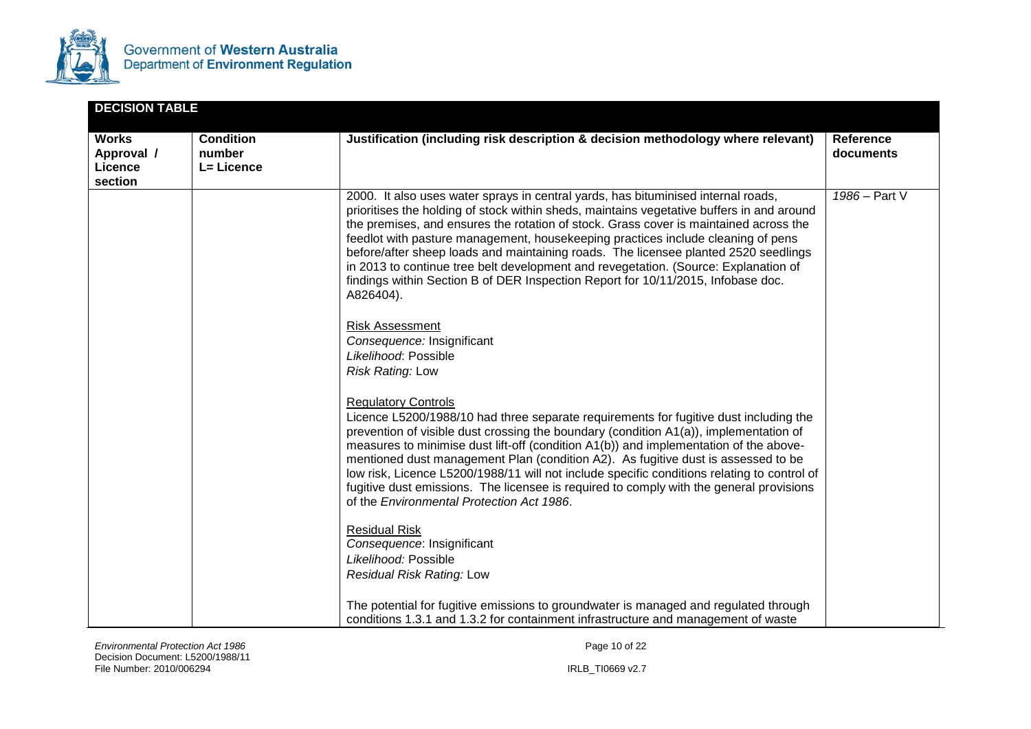

| <b>DECISION TABLE</b>                            |                                          |                                                                                                                                                                                                                                                                                                                                                                                                                                                                                                                                                                                                                                            |                               |
|--------------------------------------------------|------------------------------------------|--------------------------------------------------------------------------------------------------------------------------------------------------------------------------------------------------------------------------------------------------------------------------------------------------------------------------------------------------------------------------------------------------------------------------------------------------------------------------------------------------------------------------------------------------------------------------------------------------------------------------------------------|-------------------------------|
| <b>Works</b><br>Approval /<br>Licence<br>section | <b>Condition</b><br>number<br>L= Licence | Justification (including risk description & decision methodology where relevant)                                                                                                                                                                                                                                                                                                                                                                                                                                                                                                                                                           | <b>Reference</b><br>documents |
|                                                  |                                          | 2000. It also uses water sprays in central yards, has bituminised internal roads,<br>prioritises the holding of stock within sheds, maintains vegetative buffers in and around<br>the premises, and ensures the rotation of stock. Grass cover is maintained across the<br>feedlot with pasture management, housekeeping practices include cleaning of pens<br>before/after sheep loads and maintaining roads. The licensee planted 2520 seedlings<br>in 2013 to continue tree belt development and revegetation. (Source: Explanation of<br>findings within Section B of DER Inspection Report for 10/11/2015, Infobase doc.<br>A826404). | 1986 - Part V                 |
|                                                  |                                          | <b>Risk Assessment</b><br>Consequence: Insignificant<br>Likelihood: Possible<br><b>Risk Rating: Low</b>                                                                                                                                                                                                                                                                                                                                                                                                                                                                                                                                    |                               |
|                                                  |                                          | <b>Regulatory Controls</b><br>Licence L5200/1988/10 had three separate requirements for fugitive dust including the<br>prevention of visible dust crossing the boundary (condition A1(a)), implementation of<br>measures to minimise dust lift-off (condition A1(b)) and implementation of the above-<br>mentioned dust management Plan (condition A2). As fugitive dust is assessed to be<br>low risk, Licence L5200/1988/11 will not include specific conditions relating to control of<br>fugitive dust emissions. The licensee is required to comply with the general provisions<br>of the Environmental Protection Act 1986.          |                               |
|                                                  |                                          | <b>Residual Risk</b><br>Consequence: Insignificant<br>Likelihood: Possible<br>Residual Risk Rating: Low                                                                                                                                                                                                                                                                                                                                                                                                                                                                                                                                    |                               |
|                                                  |                                          | The potential for fugitive emissions to groundwater is managed and regulated through<br>conditions 1.3.1 and 1.3.2 for containment infrastructure and management of waste                                                                                                                                                                                                                                                                                                                                                                                                                                                                  |                               |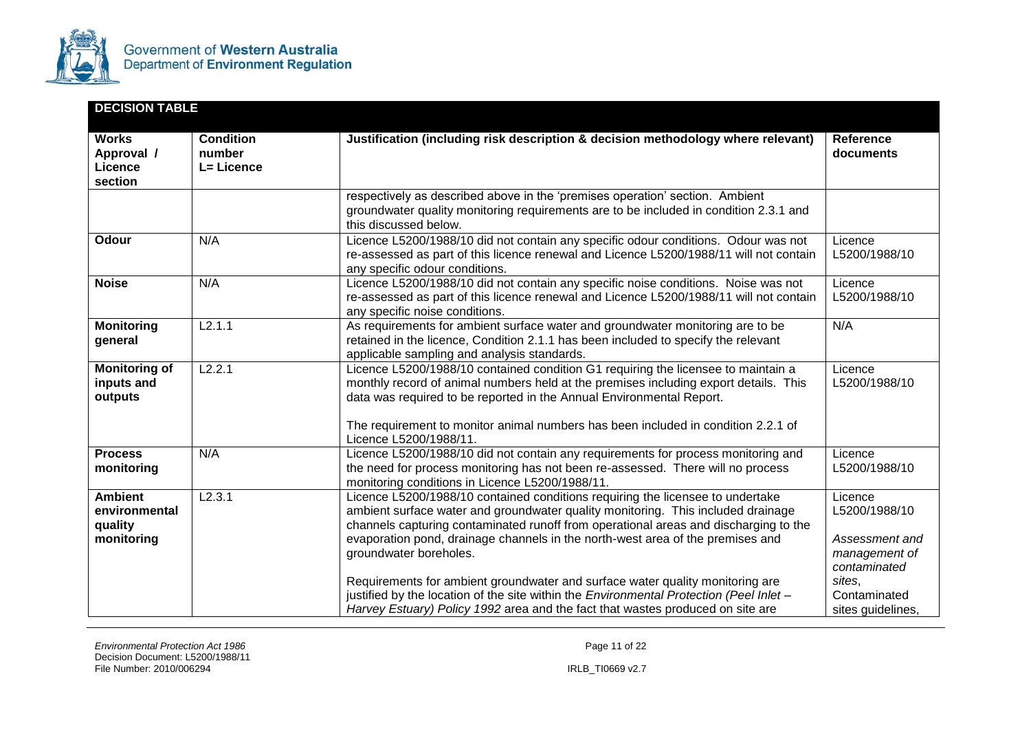

| <b>DECISION TABLE</b>                                    |                                          |                                                                                                                                                                                                                                                                                                                                                                                                                                                                                                                                                                                                                                      |                                                                                                                            |
|----------------------------------------------------------|------------------------------------------|--------------------------------------------------------------------------------------------------------------------------------------------------------------------------------------------------------------------------------------------------------------------------------------------------------------------------------------------------------------------------------------------------------------------------------------------------------------------------------------------------------------------------------------------------------------------------------------------------------------------------------------|----------------------------------------------------------------------------------------------------------------------------|
| <b>Works</b><br>Approval /<br>Licence<br>section         | <b>Condition</b><br>number<br>L= Licence | Justification (including risk description & decision methodology where relevant)                                                                                                                                                                                                                                                                                                                                                                                                                                                                                                                                                     | <b>Reference</b><br>documents                                                                                              |
|                                                          |                                          | respectively as described above in the 'premises operation' section. Ambient<br>groundwater quality monitoring requirements are to be included in condition 2.3.1 and<br>this discussed below.                                                                                                                                                                                                                                                                                                                                                                                                                                       |                                                                                                                            |
| Odour                                                    | N/A                                      | Licence L5200/1988/10 did not contain any specific odour conditions. Odour was not<br>re-assessed as part of this licence renewal and Licence L5200/1988/11 will not contain<br>any specific odour conditions.                                                                                                                                                                                                                                                                                                                                                                                                                       | Licence<br>L5200/1988/10                                                                                                   |
| <b>Noise</b>                                             | N/A                                      | Licence L5200/1988/10 did not contain any specific noise conditions. Noise was not<br>re-assessed as part of this licence renewal and Licence L5200/1988/11 will not contain<br>any specific noise conditions.                                                                                                                                                                                                                                                                                                                                                                                                                       | Licence<br>L5200/1988/10                                                                                                   |
| <b>Monitoring</b><br>general                             | L2.1.1                                   | As requirements for ambient surface water and groundwater monitoring are to be<br>retained in the licence, Condition 2.1.1 has been included to specify the relevant<br>applicable sampling and analysis standards.                                                                                                                                                                                                                                                                                                                                                                                                                  | N/A                                                                                                                        |
| <b>Monitoring of</b><br>inputs and<br>outputs            | L2.2.1                                   | Licence L5200/1988/10 contained condition G1 requiring the licensee to maintain a<br>monthly record of animal numbers held at the premises including export details. This<br>data was required to be reported in the Annual Environmental Report.<br>The requirement to monitor animal numbers has been included in condition 2.2.1 of<br>Licence L5200/1988/11.                                                                                                                                                                                                                                                                     | Licence<br>L5200/1988/10                                                                                                   |
| <b>Process</b><br>monitoring                             | N/A                                      | Licence L5200/1988/10 did not contain any requirements for process monitoring and<br>the need for process monitoring has not been re-assessed. There will no process<br>monitoring conditions in Licence L5200/1988/11.                                                                                                                                                                                                                                                                                                                                                                                                              | Licence<br>L5200/1988/10                                                                                                   |
| <b>Ambient</b><br>environmental<br>quality<br>monitoring | L2.3.1                                   | Licence L5200/1988/10 contained conditions requiring the licensee to undertake<br>ambient surface water and groundwater quality monitoring. This included drainage<br>channels capturing contaminated runoff from operational areas and discharging to the<br>evaporation pond, drainage channels in the north-west area of the premises and<br>groundwater boreholes.<br>Requirements for ambient groundwater and surface water quality monitoring are<br>justified by the location of the site within the Environmental Protection (Peel Inlet -<br>Harvey Estuary) Policy 1992 area and the fact that wastes produced on site are | Licence<br>L5200/1988/10<br>Assessment and<br>management of<br>contaminated<br>sites.<br>Contaminated<br>sites guidelines, |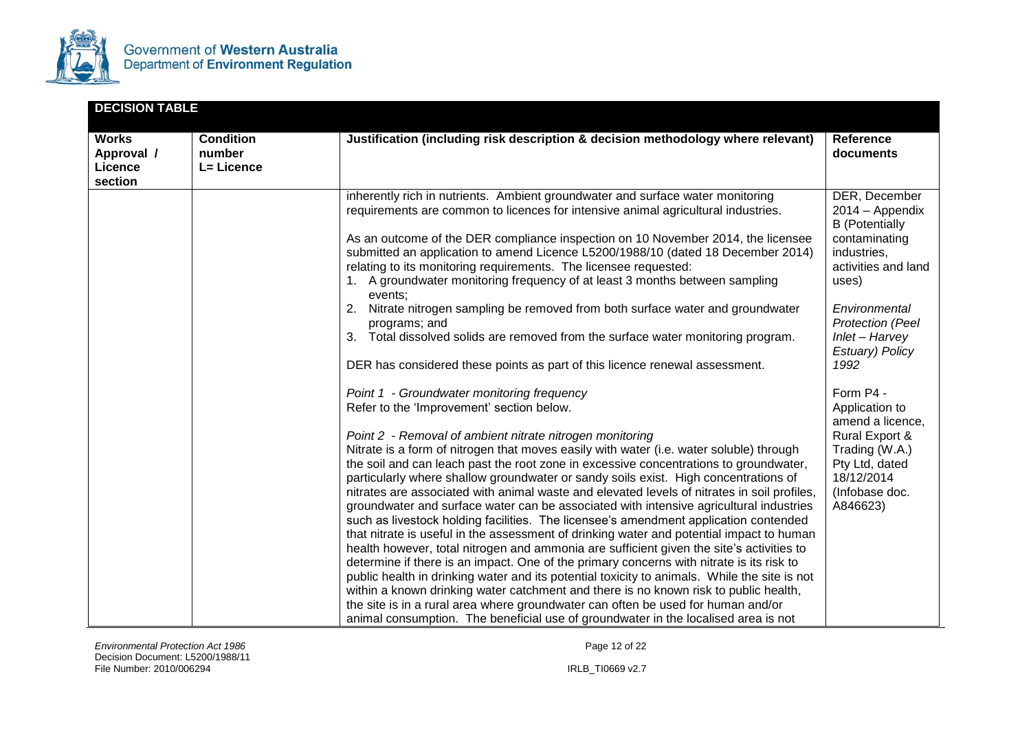

| <b>DECISION TABLE</b>                            |                                          |                                                                                                                                                                                                                                                                                                                                                                                                                                                                                                                                                                                                                                                                                                                                                                                                                                                                                                                                                                                                                                                                                                                                                                                                                                                                                                                                                                                                                                                                                                                                                                                                                                                                                                                                                                                                                                                                                                                                                                                                                                                                                                                                                                 |                                                                                                                                                                                                                                                                                                                                                                         |
|--------------------------------------------------|------------------------------------------|-----------------------------------------------------------------------------------------------------------------------------------------------------------------------------------------------------------------------------------------------------------------------------------------------------------------------------------------------------------------------------------------------------------------------------------------------------------------------------------------------------------------------------------------------------------------------------------------------------------------------------------------------------------------------------------------------------------------------------------------------------------------------------------------------------------------------------------------------------------------------------------------------------------------------------------------------------------------------------------------------------------------------------------------------------------------------------------------------------------------------------------------------------------------------------------------------------------------------------------------------------------------------------------------------------------------------------------------------------------------------------------------------------------------------------------------------------------------------------------------------------------------------------------------------------------------------------------------------------------------------------------------------------------------------------------------------------------------------------------------------------------------------------------------------------------------------------------------------------------------------------------------------------------------------------------------------------------------------------------------------------------------------------------------------------------------------------------------------------------------------------------------------------------------|-------------------------------------------------------------------------------------------------------------------------------------------------------------------------------------------------------------------------------------------------------------------------------------------------------------------------------------------------------------------------|
| <b>Works</b><br>Approval /<br>Licence<br>section | <b>Condition</b><br>number<br>L= Licence | Justification (including risk description & decision methodology where relevant)                                                                                                                                                                                                                                                                                                                                                                                                                                                                                                                                                                                                                                                                                                                                                                                                                                                                                                                                                                                                                                                                                                                                                                                                                                                                                                                                                                                                                                                                                                                                                                                                                                                                                                                                                                                                                                                                                                                                                                                                                                                                                | Reference<br>documents                                                                                                                                                                                                                                                                                                                                                  |
|                                                  |                                          | inherently rich in nutrients. Ambient groundwater and surface water monitoring<br>requirements are common to licences for intensive animal agricultural industries.<br>As an outcome of the DER compliance inspection on 10 November 2014, the licensee<br>submitted an application to amend Licence L5200/1988/10 (dated 18 December 2014)<br>relating to its monitoring requirements. The licensee requested:<br>1. A groundwater monitoring frequency of at least 3 months between sampling<br>events:<br>Nitrate nitrogen sampling be removed from both surface water and groundwater<br>2.<br>programs; and<br>Total dissolved solids are removed from the surface water monitoring program.<br>3.<br>DER has considered these points as part of this licence renewal assessment.<br>Point 1 - Groundwater monitoring frequency<br>Refer to the 'Improvement' section below.<br>Point 2 - Removal of ambient nitrate nitrogen monitoring<br>Nitrate is a form of nitrogen that moves easily with water (i.e. water soluble) through<br>the soil and can leach past the root zone in excessive concentrations to groundwater,<br>particularly where shallow groundwater or sandy soils exist. High concentrations of<br>nitrates are associated with animal waste and elevated levels of nitrates in soil profiles,<br>groundwater and surface water can be associated with intensive agricultural industries<br>such as livestock holding facilities. The licensee's amendment application contended<br>that nitrate is useful in the assessment of drinking water and potential impact to human<br>health however, total nitrogen and ammonia are sufficient given the site's activities to<br>determine if there is an impact. One of the primary concerns with nitrate is its risk to<br>public health in drinking water and its potential toxicity to animals. While the site is not<br>within a known drinking water catchment and there is no known risk to public health,<br>the site is in a rural area where groundwater can often be used for human and/or<br>animal consumption. The beneficial use of groundwater in the localised area is not | DER, December<br>2014 - Appendix<br><b>B</b> (Potentially<br>contaminating<br>industries,<br>activities and land<br>uses)<br>Environmental<br><b>Protection (Peel</b><br>Inlet - Harvey<br>Estuary) Policy<br>1992<br>Form P4 -<br>Application to<br>amend a licence,<br>Rural Export &<br>Trading (W.A.)<br>Pty Ltd, dated<br>18/12/2014<br>(Infobase doc.<br>A846623) |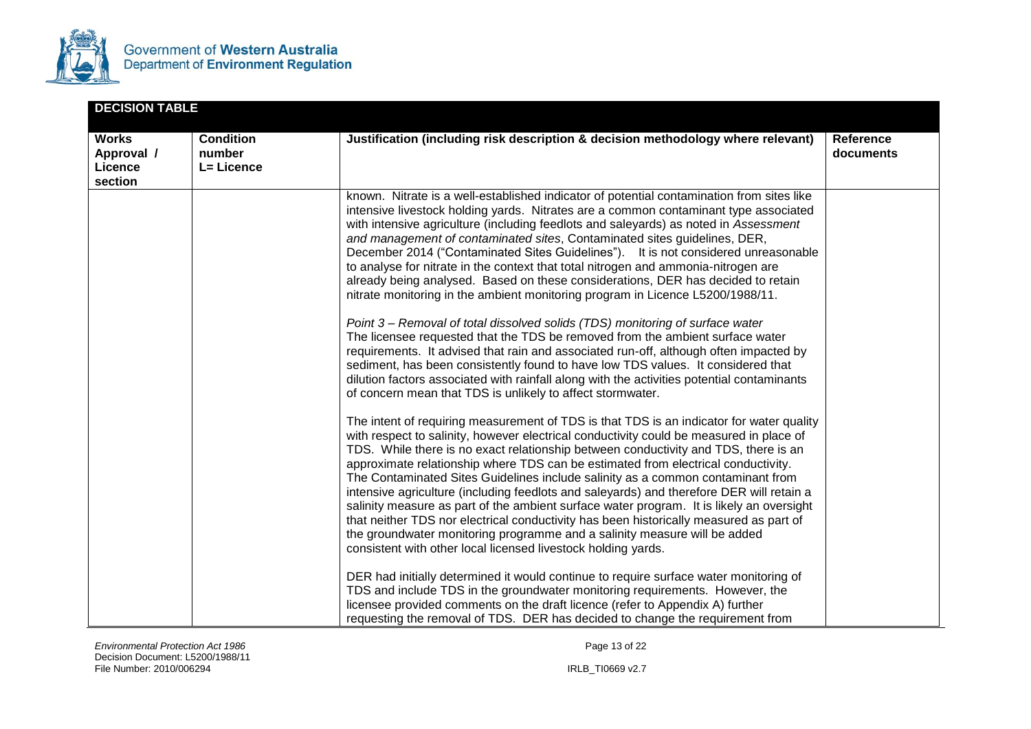

| <b>DECISION TABLE</b>                            |                                          |                                                                                                                                                                                                                                                                                                                                                                                                                                                                                                                                                                                                                                                                                                                                                                                                                                                                                                                                                                                                                                                                                                                                                                                                                                                                                                                                                                                                                                                                                                                                                                                                                                                                           |                        |
|--------------------------------------------------|------------------------------------------|---------------------------------------------------------------------------------------------------------------------------------------------------------------------------------------------------------------------------------------------------------------------------------------------------------------------------------------------------------------------------------------------------------------------------------------------------------------------------------------------------------------------------------------------------------------------------------------------------------------------------------------------------------------------------------------------------------------------------------------------------------------------------------------------------------------------------------------------------------------------------------------------------------------------------------------------------------------------------------------------------------------------------------------------------------------------------------------------------------------------------------------------------------------------------------------------------------------------------------------------------------------------------------------------------------------------------------------------------------------------------------------------------------------------------------------------------------------------------------------------------------------------------------------------------------------------------------------------------------------------------------------------------------------------------|------------------------|
| <b>Works</b><br>Approval /<br>Licence<br>section | <b>Condition</b><br>number<br>L= Licence | Justification (including risk description & decision methodology where relevant)                                                                                                                                                                                                                                                                                                                                                                                                                                                                                                                                                                                                                                                                                                                                                                                                                                                                                                                                                                                                                                                                                                                                                                                                                                                                                                                                                                                                                                                                                                                                                                                          | Reference<br>documents |
|                                                  |                                          | known. Nitrate is a well-established indicator of potential contamination from sites like<br>intensive livestock holding yards. Nitrates are a common contaminant type associated<br>with intensive agriculture (including feedlots and saleyards) as noted in Assessment<br>and management of contaminated sites, Contaminated sites guidelines, DER,<br>December 2014 ("Contaminated Sites Guidelines"). It is not considered unreasonable<br>to analyse for nitrate in the context that total nitrogen and ammonia-nitrogen are<br>already being analysed. Based on these considerations, DER has decided to retain<br>nitrate monitoring in the ambient monitoring program in Licence L5200/1988/11.<br>Point 3 – Removal of total dissolved solids (TDS) monitoring of surface water<br>The licensee requested that the TDS be removed from the ambient surface water<br>requirements. It advised that rain and associated run-off, although often impacted by<br>sediment, has been consistently found to have low TDS values. It considered that<br>dilution factors associated with rainfall along with the activities potential contaminants<br>of concern mean that TDS is unlikely to affect stormwater.<br>The intent of requiring measurement of TDS is that TDS is an indicator for water quality<br>with respect to salinity, however electrical conductivity could be measured in place of<br>TDS. While there is no exact relationship between conductivity and TDS, there is an<br>approximate relationship where TDS can be estimated from electrical conductivity.<br>The Contaminated Sites Guidelines include salinity as a common contaminant from |                        |
|                                                  |                                          | intensive agriculture (including feedlots and saleyards) and therefore DER will retain a<br>salinity measure as part of the ambient surface water program. It is likely an oversight<br>that neither TDS nor electrical conductivity has been historically measured as part of<br>the groundwater monitoring programme and a salinity measure will be added<br>consistent with other local licensed livestock holding yards.<br>DER had initially determined it would continue to require surface water monitoring of<br>TDS and include TDS in the groundwater monitoring requirements. However, the<br>licensee provided comments on the draft licence (refer to Appendix A) further<br>requesting the removal of TDS. DER has decided to change the requirement from                                                                                                                                                                                                                                                                                                                                                                                                                                                                                                                                                                                                                                                                                                                                                                                                                                                                                                   |                        |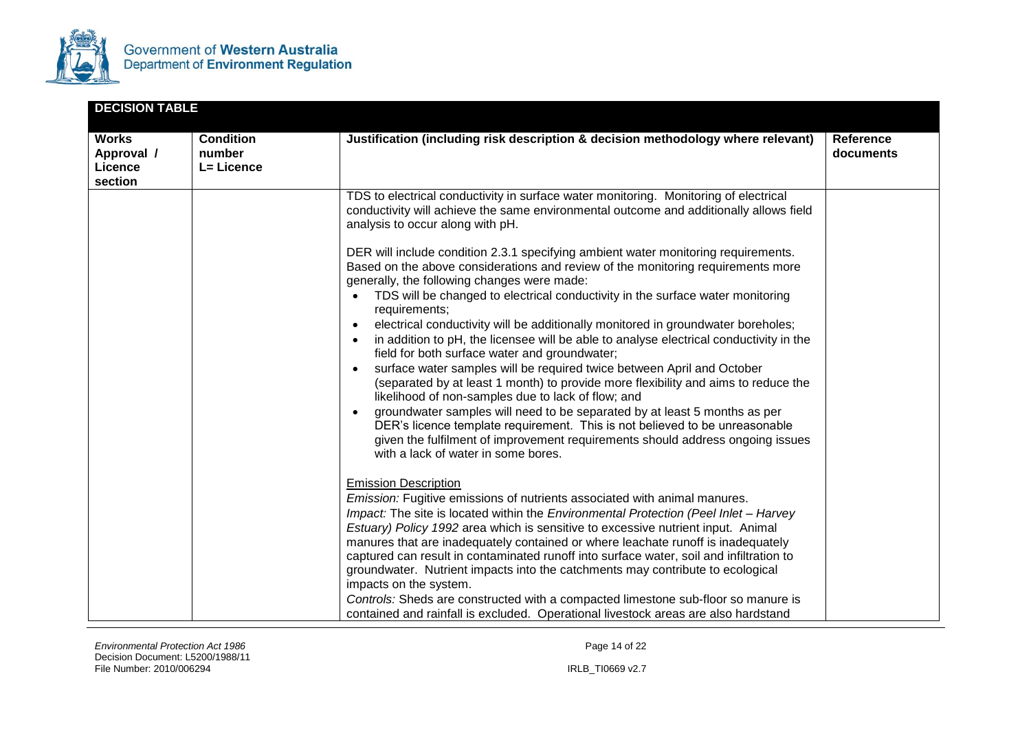

| <b>DECISION TABLE</b>                            |                                          |                                                                                                                                                                                                                                                                                                                                                                                                                                                                                                                                                                                                                                                                                                                                                                                                                                                                                                                                 |                               |
|--------------------------------------------------|------------------------------------------|---------------------------------------------------------------------------------------------------------------------------------------------------------------------------------------------------------------------------------------------------------------------------------------------------------------------------------------------------------------------------------------------------------------------------------------------------------------------------------------------------------------------------------------------------------------------------------------------------------------------------------------------------------------------------------------------------------------------------------------------------------------------------------------------------------------------------------------------------------------------------------------------------------------------------------|-------------------------------|
| <b>Works</b><br>Approval /<br>Licence<br>section | <b>Condition</b><br>number<br>L= Licence | Justification (including risk description & decision methodology where relevant)                                                                                                                                                                                                                                                                                                                                                                                                                                                                                                                                                                                                                                                                                                                                                                                                                                                | <b>Reference</b><br>documents |
|                                                  |                                          | TDS to electrical conductivity in surface water monitoring. Monitoring of electrical<br>conductivity will achieve the same environmental outcome and additionally allows field<br>analysis to occur along with pH.<br>DER will include condition 2.3.1 specifying ambient water monitoring requirements.<br>Based on the above considerations and review of the monitoring requirements more                                                                                                                                                                                                                                                                                                                                                                                                                                                                                                                                    |                               |
|                                                  |                                          | generally, the following changes were made:<br>TDS will be changed to electrical conductivity in the surface water monitoring<br>$\bullet$<br>requirements;<br>electrical conductivity will be additionally monitored in groundwater boreholes;<br>$\bullet$<br>in addition to pH, the licensee will be able to analyse electrical conductivity in the<br>$\bullet$<br>field for both surface water and groundwater;<br>surface water samples will be required twice between April and October<br>(separated by at least 1 month) to provide more flexibility and aims to reduce the<br>likelihood of non-samples due to lack of flow; and<br>groundwater samples will need to be separated by at least 5 months as per<br>DER's licence template requirement. This is not believed to be unreasonable<br>given the fulfilment of improvement requirements should address ongoing issues<br>with a lack of water in some bores. |                               |
|                                                  |                                          | <b>Emission Description</b><br>Emission: Fugitive emissions of nutrients associated with animal manures.<br>Impact: The site is located within the Environmental Protection (Peel Inlet - Harvey<br>Estuary) Policy 1992 area which is sensitive to excessive nutrient input. Animal<br>manures that are inadequately contained or where leachate runoff is inadequately<br>captured can result in contaminated runoff into surface water, soil and infiltration to<br>groundwater. Nutrient impacts into the catchments may contribute to ecological<br>impacts on the system.<br>Controls: Sheds are constructed with a compacted limestone sub-floor so manure is<br>contained and rainfall is excluded. Operational livestock areas are also hardstand                                                                                                                                                                      |                               |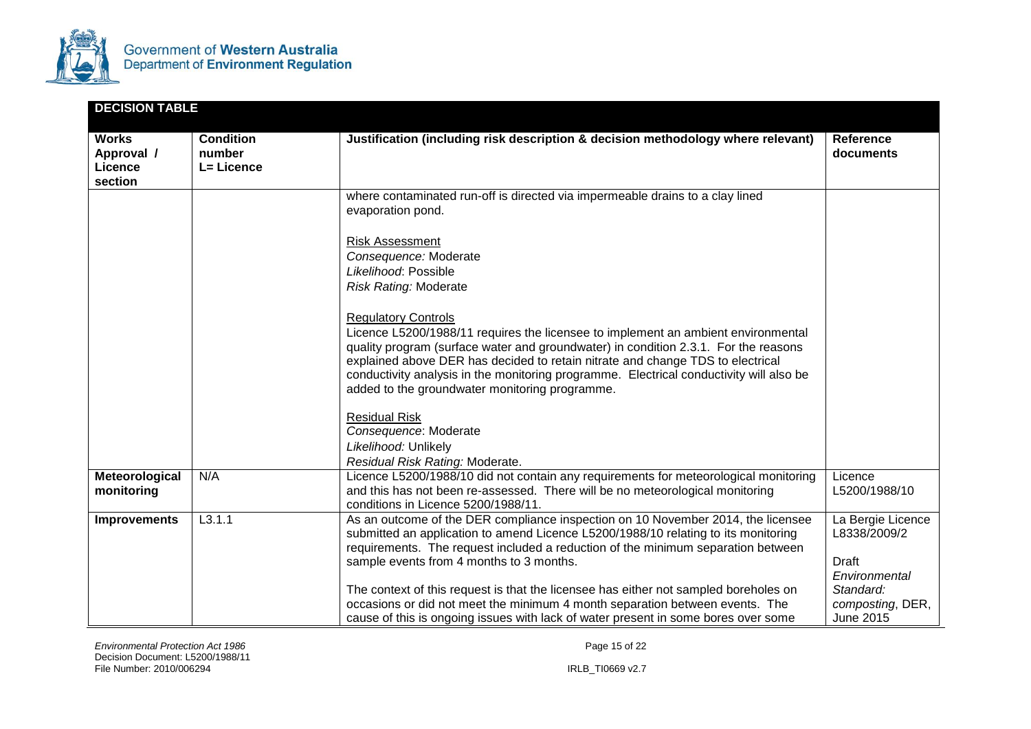

| <b>DECISION TABLE</b>                            |                                          |                                                                                                                                                                                                                                                                                                                                                                                                                                                                                                                                                                      |                                                                                                           |
|--------------------------------------------------|------------------------------------------|----------------------------------------------------------------------------------------------------------------------------------------------------------------------------------------------------------------------------------------------------------------------------------------------------------------------------------------------------------------------------------------------------------------------------------------------------------------------------------------------------------------------------------------------------------------------|-----------------------------------------------------------------------------------------------------------|
| <b>Works</b><br>Approval /<br>Licence<br>section | <b>Condition</b><br>number<br>L= Licence | Justification (including risk description & decision methodology where relevant)                                                                                                                                                                                                                                                                                                                                                                                                                                                                                     | <b>Reference</b><br>documents                                                                             |
|                                                  |                                          | where contaminated run-off is directed via impermeable drains to a clay lined<br>evaporation pond.                                                                                                                                                                                                                                                                                                                                                                                                                                                                   |                                                                                                           |
|                                                  |                                          | <b>Risk Assessment</b><br>Consequence: Moderate<br>Likelihood: Possible<br><b>Risk Rating: Moderate</b>                                                                                                                                                                                                                                                                                                                                                                                                                                                              |                                                                                                           |
|                                                  |                                          | <b>Regulatory Controls</b><br>Licence L5200/1988/11 requires the licensee to implement an ambient environmental<br>quality program (surface water and groundwater) in condition 2.3.1. For the reasons<br>explained above DER has decided to retain nitrate and change TDS to electrical<br>conductivity analysis in the monitoring programme. Electrical conductivity will also be<br>added to the groundwater monitoring programme.                                                                                                                                |                                                                                                           |
|                                                  |                                          | <b>Residual Risk</b><br>Consequence: Moderate<br>Likelihood: Unlikely<br>Residual Risk Rating: Moderate.                                                                                                                                                                                                                                                                                                                                                                                                                                                             |                                                                                                           |
| Meteorological<br>monitoring                     | N/A                                      | Licence L5200/1988/10 did not contain any requirements for meteorological monitoring<br>and this has not been re-assessed. There will be no meteorological monitoring<br>conditions in Licence 5200/1988/11.                                                                                                                                                                                                                                                                                                                                                         | Licence<br>L5200/1988/10                                                                                  |
| <b>Improvements</b>                              | L3.1.1                                   | As an outcome of the DER compliance inspection on 10 November 2014, the licensee<br>submitted an application to amend Licence L5200/1988/10 relating to its monitoring<br>requirements. The request included a reduction of the minimum separation between<br>sample events from 4 months to 3 months.<br>The context of this request is that the licensee has either not sampled boreholes on<br>occasions or did not meet the minimum 4 month separation between events. The<br>cause of this is ongoing issues with lack of water present in some bores over some | La Bergie Licence<br>L8338/2009/2<br>Draft<br>Environmental<br>Standard:<br>composting, DER,<br>June 2015 |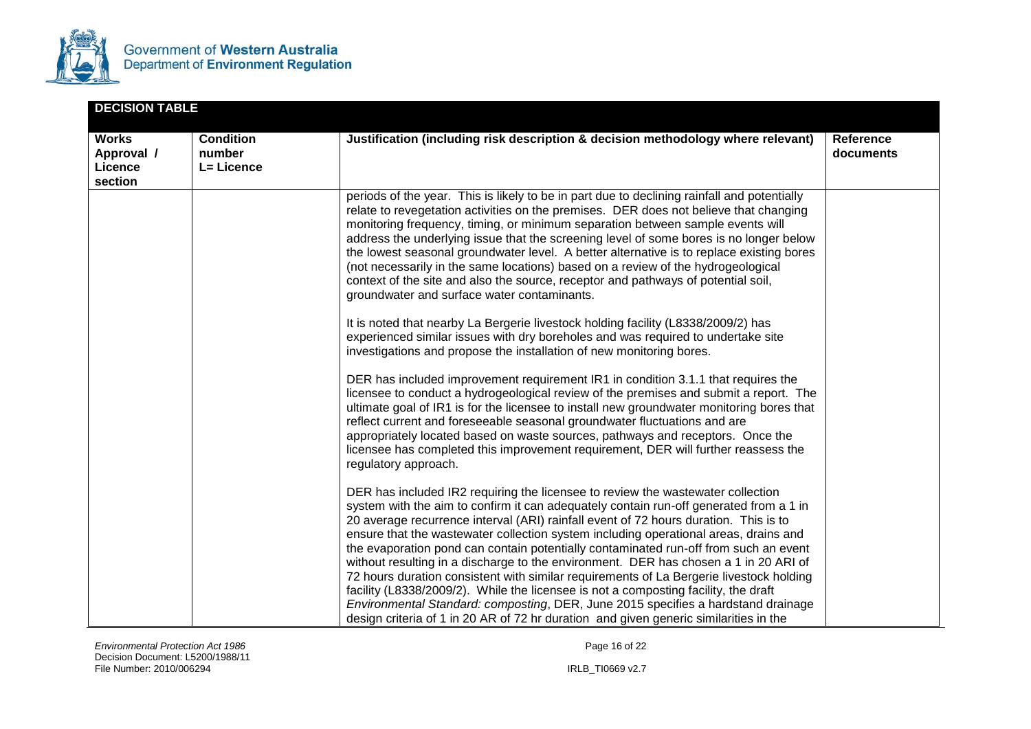

| <b>DECISION TABLE</b>                            |                                          |                                                                                                                                                                                                                                                                                                                                                                                                                                                                                                                                                                                                                                                                                                                                                                                                                                                                                                           |                               |
|--------------------------------------------------|------------------------------------------|-----------------------------------------------------------------------------------------------------------------------------------------------------------------------------------------------------------------------------------------------------------------------------------------------------------------------------------------------------------------------------------------------------------------------------------------------------------------------------------------------------------------------------------------------------------------------------------------------------------------------------------------------------------------------------------------------------------------------------------------------------------------------------------------------------------------------------------------------------------------------------------------------------------|-------------------------------|
| <b>Works</b><br>Approval /<br>Licence<br>section | <b>Condition</b><br>number<br>L= Licence | Justification (including risk description & decision methodology where relevant)                                                                                                                                                                                                                                                                                                                                                                                                                                                                                                                                                                                                                                                                                                                                                                                                                          | <b>Reference</b><br>documents |
|                                                  |                                          | periods of the year. This is likely to be in part due to declining rainfall and potentially<br>relate to revegetation activities on the premises. DER does not believe that changing<br>monitoring frequency, timing, or minimum separation between sample events will<br>address the underlying issue that the screening level of some bores is no longer below<br>the lowest seasonal groundwater level. A better alternative is to replace existing bores<br>(not necessarily in the same locations) based on a review of the hydrogeological<br>context of the site and also the source, receptor and pathways of potential soil,<br>groundwater and surface water contaminants.                                                                                                                                                                                                                      |                               |
|                                                  |                                          | It is noted that nearby La Bergerie livestock holding facility (L8338/2009/2) has<br>experienced similar issues with dry boreholes and was required to undertake site<br>investigations and propose the installation of new monitoring bores.                                                                                                                                                                                                                                                                                                                                                                                                                                                                                                                                                                                                                                                             |                               |
|                                                  |                                          | DER has included improvement requirement IR1 in condition 3.1.1 that requires the<br>licensee to conduct a hydrogeological review of the premises and submit a report. The<br>ultimate goal of IR1 is for the licensee to install new groundwater monitoring bores that<br>reflect current and foreseeable seasonal groundwater fluctuations and are<br>appropriately located based on waste sources, pathways and receptors. Once the<br>licensee has completed this improvement requirement, DER will further reassess the<br>regulatory approach.                                                                                                                                                                                                                                                                                                                                                      |                               |
|                                                  |                                          | DER has included IR2 requiring the licensee to review the wastewater collection<br>system with the aim to confirm it can adequately contain run-off generated from a 1 in<br>20 average recurrence interval (ARI) rainfall event of 72 hours duration. This is to<br>ensure that the wastewater collection system including operational areas, drains and<br>the evaporation pond can contain potentially contaminated run-off from such an event<br>without resulting in a discharge to the environment. DER has chosen a 1 in 20 ARI of<br>72 hours duration consistent with similar requirements of La Bergerie livestock holding<br>facility (L8338/2009/2). While the licensee is not a composting facility, the draft<br>Environmental Standard: composting, DER, June 2015 specifies a hardstand drainage<br>design criteria of 1 in 20 AR of 72 hr duration and given generic similarities in the |                               |

**Environmental Protection Act 1986 Page 16 of 22 Page 16 of 22 Page 16 of 22** Decision Document: L5200/1988/11 File Number: 2010/006294 IRLB\_TI0669 v2.7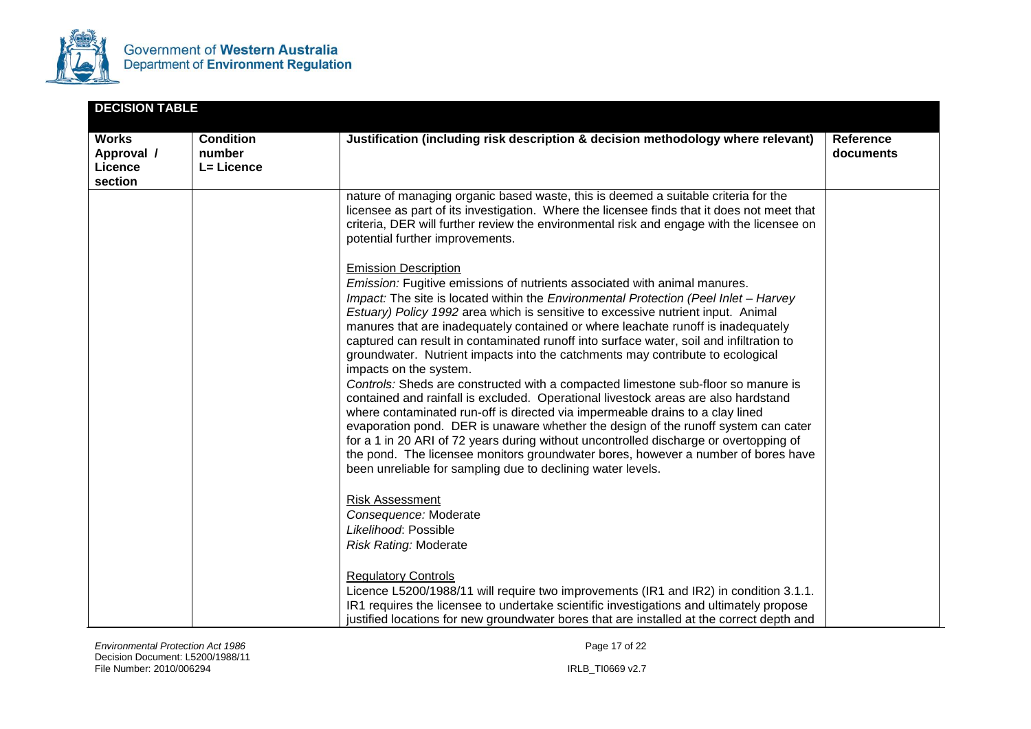

| <b>DECISION TABLE</b>                            |                                          |                                                                                                                                                                                                                                                                                                                                                                                                                                                                                                                                                                                                                                                                                                                                                                                                                                                                                                                                                                                                                                                                                                                                                                                       |                        |
|--------------------------------------------------|------------------------------------------|---------------------------------------------------------------------------------------------------------------------------------------------------------------------------------------------------------------------------------------------------------------------------------------------------------------------------------------------------------------------------------------------------------------------------------------------------------------------------------------------------------------------------------------------------------------------------------------------------------------------------------------------------------------------------------------------------------------------------------------------------------------------------------------------------------------------------------------------------------------------------------------------------------------------------------------------------------------------------------------------------------------------------------------------------------------------------------------------------------------------------------------------------------------------------------------|------------------------|
| <b>Works</b><br>Approval /<br>Licence<br>section | <b>Condition</b><br>number<br>L= Licence | Justification (including risk description & decision methodology where relevant)                                                                                                                                                                                                                                                                                                                                                                                                                                                                                                                                                                                                                                                                                                                                                                                                                                                                                                                                                                                                                                                                                                      | Reference<br>documents |
|                                                  |                                          | nature of managing organic based waste, this is deemed a suitable criteria for the<br>licensee as part of its investigation. Where the licensee finds that it does not meet that<br>criteria, DER will further review the environmental risk and engage with the licensee on<br>potential further improvements.                                                                                                                                                                                                                                                                                                                                                                                                                                                                                                                                                                                                                                                                                                                                                                                                                                                                       |                        |
|                                                  |                                          | <b>Emission Description</b><br><i>Emission:</i> Fugitive emissions of nutrients associated with animal manures.<br>Impact: The site is located within the Environmental Protection (Peel Inlet - Harvey<br>Estuary) Policy 1992 area which is sensitive to excessive nutrient input. Animal<br>manures that are inadequately contained or where leachate runoff is inadequately<br>captured can result in contaminated runoff into surface water, soil and infiltration to<br>groundwater. Nutrient impacts into the catchments may contribute to ecological<br>impacts on the system.<br>Controls: Sheds are constructed with a compacted limestone sub-floor so manure is<br>contained and rainfall is excluded. Operational livestock areas are also hardstand<br>where contaminated run-off is directed via impermeable drains to a clay lined<br>evaporation pond. DER is unaware whether the design of the runoff system can cater<br>for a 1 in 20 ARI of 72 years during without uncontrolled discharge or overtopping of<br>the pond. The licensee monitors groundwater bores, however a number of bores have<br>been unreliable for sampling due to declining water levels. |                        |
|                                                  |                                          | <b>Risk Assessment</b><br>Consequence: Moderate<br>Likelihood: Possible<br><b>Risk Rating: Moderate</b>                                                                                                                                                                                                                                                                                                                                                                                                                                                                                                                                                                                                                                                                                                                                                                                                                                                                                                                                                                                                                                                                               |                        |
|                                                  |                                          | <b>Regulatory Controls</b><br>Licence L5200/1988/11 will require two improvements (IR1 and IR2) in condition 3.1.1.<br>IR1 requires the licensee to undertake scientific investigations and ultimately propose<br>justified locations for new groundwater bores that are installed at the correct depth and                                                                                                                                                                                                                                                                                                                                                                                                                                                                                                                                                                                                                                                                                                                                                                                                                                                                           |                        |

*Environmental Protection Act 1986* **Page 17 of 22 Page 17 of 22** Decision Document: L5200/1988/11 File Number: 2010/006294 IRLB\_TI0669 v2.7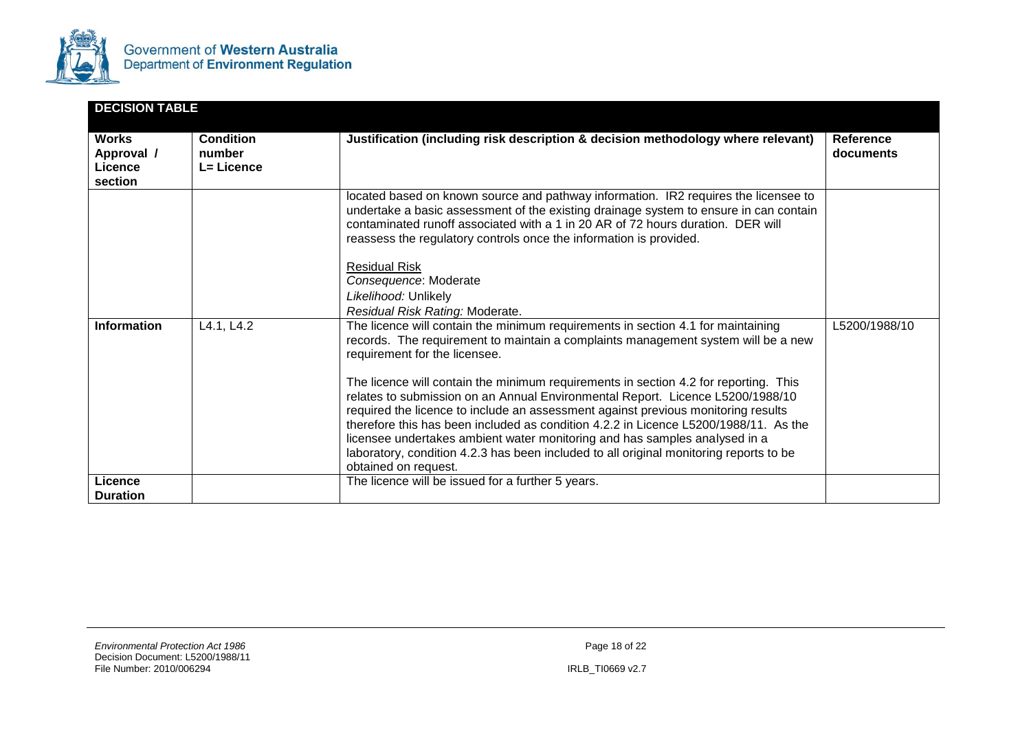

|                                                  | <b>DECISION TABLE</b>                       |                                                                                                                                                                                                                                                                                                                                                                                                                                                                                                                                                                                                                                                                                                                                                               |                        |  |  |
|--------------------------------------------------|---------------------------------------------|---------------------------------------------------------------------------------------------------------------------------------------------------------------------------------------------------------------------------------------------------------------------------------------------------------------------------------------------------------------------------------------------------------------------------------------------------------------------------------------------------------------------------------------------------------------------------------------------------------------------------------------------------------------------------------------------------------------------------------------------------------------|------------------------|--|--|
| <b>Works</b><br>Approval /<br>Licence<br>section | <b>Condition</b><br>number<br>$L = Licence$ | Justification (including risk description & decision methodology where relevant)                                                                                                                                                                                                                                                                                                                                                                                                                                                                                                                                                                                                                                                                              | Reference<br>documents |  |  |
|                                                  |                                             | located based on known source and pathway information. IR2 requires the licensee to<br>undertake a basic assessment of the existing drainage system to ensure in can contain<br>contaminated runoff associated with a 1 in 20 AR of 72 hours duration. DER will<br>reassess the regulatory controls once the information is provided.<br><b>Residual Risk</b><br>Consequence: Moderate<br>Likelihood: Unlikely<br>Residual Risk Rating: Moderate.                                                                                                                                                                                                                                                                                                             |                        |  |  |
| <b>Information</b>                               | L4.1, L4.2                                  | The licence will contain the minimum requirements in section 4.1 for maintaining<br>records. The requirement to maintain a complaints management system will be a new<br>requirement for the licensee.<br>The licence will contain the minimum requirements in section 4.2 for reporting. This<br>relates to submission on an Annual Environmental Report. Licence L5200/1988/10<br>required the licence to include an assessment against previous monitoring results<br>therefore this has been included as condition 4.2.2 in Licence L5200/1988/11. As the<br>licensee undertakes ambient water monitoring and has samples analysed in a<br>laboratory, condition 4.2.3 has been included to all original monitoring reports to be<br>obtained on request. | L5200/1988/10          |  |  |
| Licence<br><b>Duration</b>                       |                                             | The licence will be issued for a further 5 years.                                                                                                                                                                                                                                                                                                                                                                                                                                                                                                                                                                                                                                                                                                             |                        |  |  |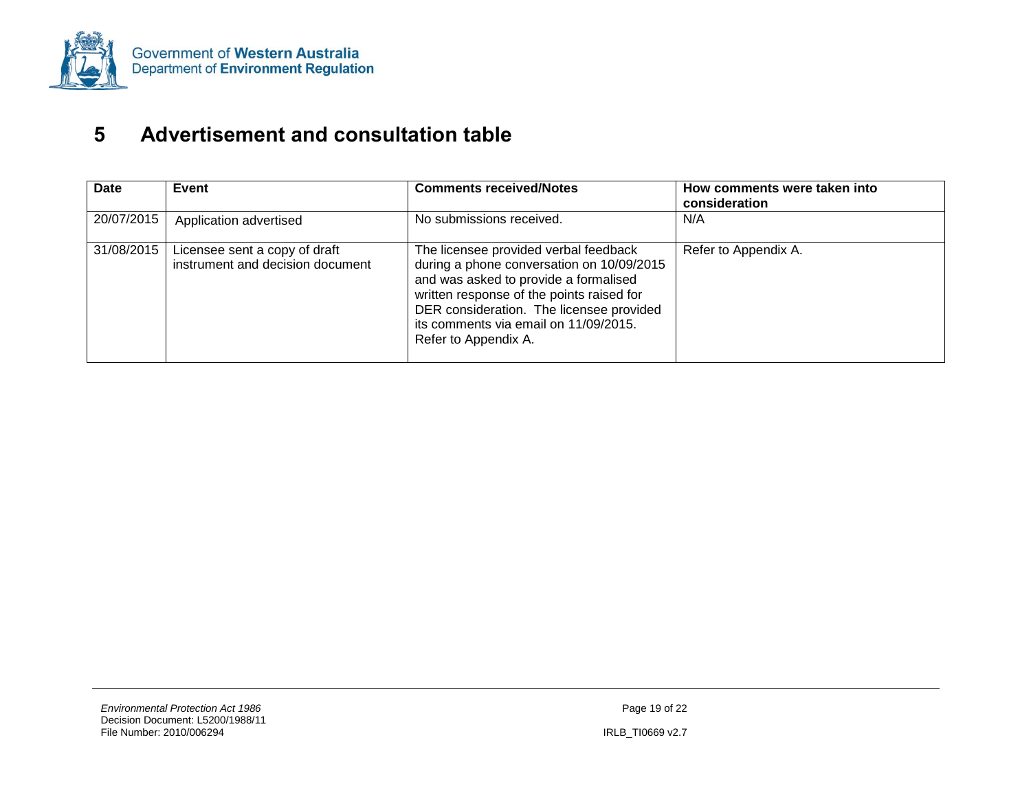

## **5 Advertisement and consultation table**

<span id="page-31-0"></span>

| <b>Date</b> | Event                                                             | <b>Comments received/Notes</b>                                                                                                                                                                                                                                                        | How comments were taken into<br>consideration |
|-------------|-------------------------------------------------------------------|---------------------------------------------------------------------------------------------------------------------------------------------------------------------------------------------------------------------------------------------------------------------------------------|-----------------------------------------------|
| 20/07/2015  | Application advertised                                            | No submissions received.                                                                                                                                                                                                                                                              | N/A                                           |
| 31/08/2015  | Licensee sent a copy of draft<br>instrument and decision document | The licensee provided verbal feedback<br>during a phone conversation on 10/09/2015<br>and was asked to provide a formalised<br>written response of the points raised for<br>DER consideration. The licensee provided<br>its comments via email on 11/09/2015.<br>Refer to Appendix A. | Refer to Appendix A.                          |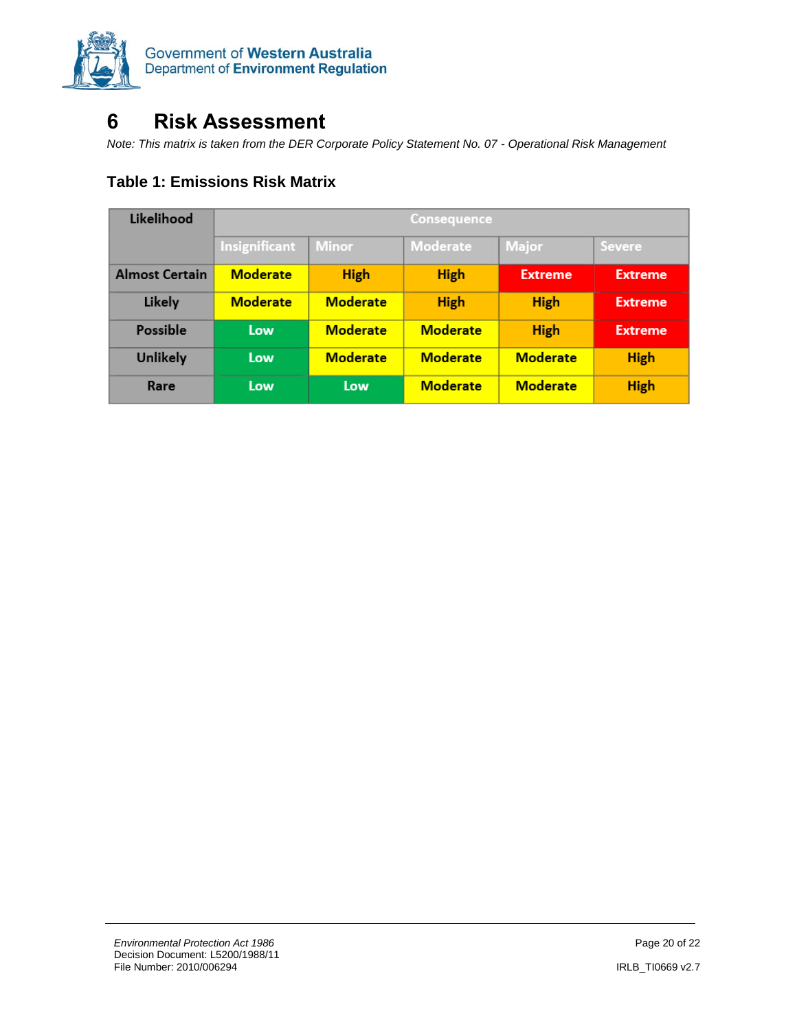

### **6 Risk Assessment**

*Note: This matrix is taken from the DER Corporate Policy Statement No. 07 - Operational Risk Management*

<span id="page-32-0"></span>

|  | <b>Table 1: Emissions Risk Matrix</b> |  |  |
|--|---------------------------------------|--|--|
|--|---------------------------------------|--|--|

| Likelihood            | <b>Consequence</b> |                 |                 |                 |                |
|-----------------------|--------------------|-----------------|-----------------|-----------------|----------------|
|                       | Insignificant      | <b>Minor</b>    | Moderate        | <b>Major</b>    | <b>Severe</b>  |
| <b>Almost Certain</b> | <b>Moderate</b>    | <b>High</b>     | <b>High</b>     | <b>Extreme</b>  | <b>Extreme</b> |
| Likely                | <b>Moderate</b>    | <b>Moderate</b> | <b>High</b>     | <b>High</b>     | <b>Extreme</b> |
| Possible              | Low                | <b>Moderate</b> | <b>Moderate</b> | <b>High</b>     | <b>Extreme</b> |
| <b>Unlikely</b>       | Low                | <b>Moderate</b> | <b>Moderate</b> | <b>Moderate</b> | <b>High</b>    |
| Rare                  | Low                | Low             | <b>Moderate</b> | <b>Moderate</b> | <b>High</b>    |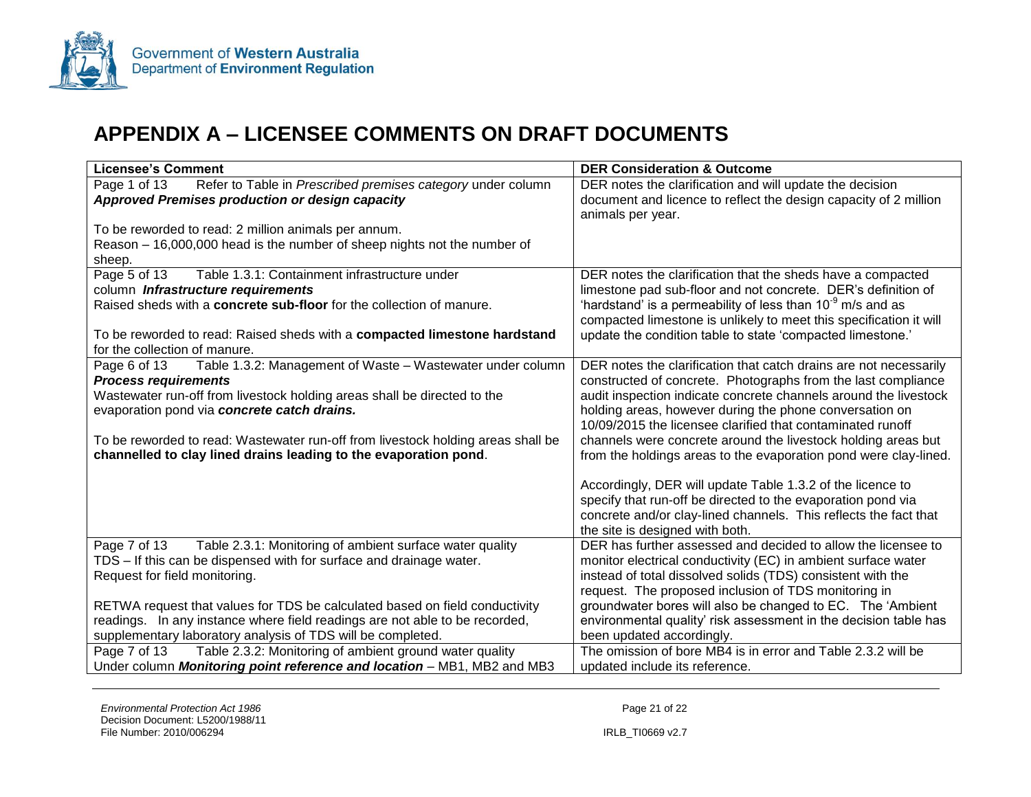

### **APPENDIX A – LICENSEE COMMENTS ON DRAFT DOCUMENTS**

| <b>Licensee's Comment</b>                                                        | <b>DER Consideration &amp; Outcome</b>                             |
|----------------------------------------------------------------------------------|--------------------------------------------------------------------|
| Page 1 of 13<br>Refer to Table in Prescribed premises category under column      | DER notes the clarification and will update the decision           |
| Approved Premises production or design capacity                                  | document and licence to reflect the design capacity of 2 million   |
|                                                                                  | animals per year.                                                  |
| To be reworded to read: 2 million animals per annum.                             |                                                                    |
| Reason - 16,000,000 head is the number of sheep nights not the number of         |                                                                    |
| sheep.                                                                           |                                                                    |
| Table 1.3.1: Containment infrastructure under<br>Page 5 of 13                    | DER notes the clarification that the sheds have a compacted        |
| column Infrastructure requirements                                               | limestone pad sub-floor and not concrete. DER's definition of      |
| Raised sheds with a concrete sub-floor for the collection of manure.             | 'hardstand' is a permeability of less than $10^{-9}$ m/s and as    |
|                                                                                  | compacted limestone is unlikely to meet this specification it will |
| To be reworded to read: Raised sheds with a compacted limestone hardstand        | update the condition table to state 'compacted limestone.'         |
| for the collection of manure.                                                    |                                                                    |
| Page 6 of 13<br>Table 1.3.2: Management of Waste - Wastewater under column       | DER notes the clarification that catch drains are not necessarily  |
| <b>Process requirements</b>                                                      | constructed of concrete. Photographs from the last compliance      |
| Wastewater run-off from livestock holding areas shall be directed to the         | audit inspection indicate concrete channels around the livestock   |
| evaporation pond via concrete catch drains.                                      | holding areas, however during the phone conversation on            |
|                                                                                  | 10/09/2015 the licensee clarified that contaminated runoff         |
| To be reworded to read: Wastewater run-off from livestock holding areas shall be | channels were concrete around the livestock holding areas but      |
| channelled to clay lined drains leading to the evaporation pond.                 | from the holdings areas to the evaporation pond were clay-lined.   |
|                                                                                  |                                                                    |
|                                                                                  | Accordingly, DER will update Table 1.3.2 of the licence to         |
|                                                                                  | specify that run-off be directed to the evaporation pond via       |
|                                                                                  | concrete and/or clay-lined channels. This reflects the fact that   |
|                                                                                  | the site is designed with both.                                    |
| Table 2.3.1: Monitoring of ambient surface water quality<br>Page 7 of 13         | DER has further assessed and decided to allow the licensee to      |
| TDS – If this can be dispensed with for surface and drainage water.              | monitor electrical conductivity (EC) in ambient surface water      |
| Request for field monitoring.                                                    | instead of total dissolved solids (TDS) consistent with the        |
|                                                                                  | request. The proposed inclusion of TDS monitoring in               |
| RETWA request that values for TDS be calculated based on field conductivity      | groundwater bores will also be changed to EC. The 'Ambient         |
| readings. In any instance where field readings are not able to be recorded,      | environmental quality' risk assessment in the decision table has   |
| supplementary laboratory analysis of TDS will be completed.                      | been updated accordingly.                                          |
| Table 2.3.2: Monitoring of ambient ground water quality<br>Page 7 of 13          | The omission of bore MB4 is in error and Table 2.3.2 will be       |
| Under column Monitoring point reference and location - MB1, MB2 and MB3          | updated include its reference.                                     |